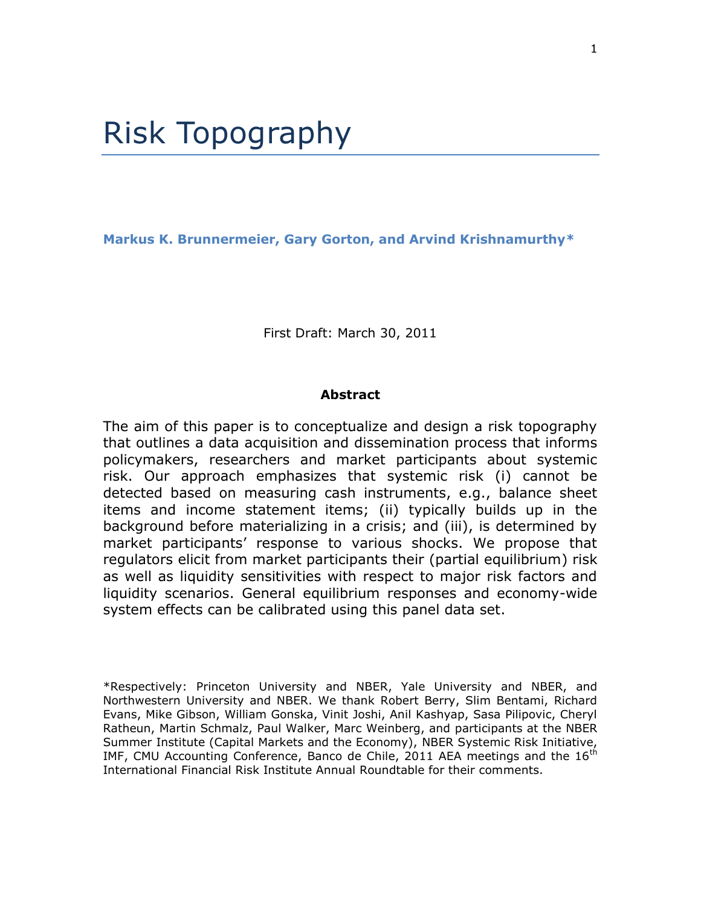**Markus K. Brunnermeier, Gary Gorton, and Arvind Krishnamurthy\***

First Draft: March 30, 2011

#### **Abstract**

The aim of this paper is to conceptualize and design a risk topography that outlines a data acquisition and dissemination process that informs policymakers, researchers and market participants about systemic risk. Our approach emphasizes that systemic risk (i) cannot be detected based on measuring cash instruments, e.g., balance sheet items and income statement items; (ii) typically builds up in the background before materializing in a crisis; and (iii), is determined by market participants' response to various shocks. We propose that regulators elicit from market participants their (partial equilibrium) risk as well as liquidity sensitivities with respect to major risk factors and liquidity scenarios. General equilibrium responses and economy-wide system effects can be calibrated using this panel data set.

\*Respectively: Princeton University and NBER, Yale University and NBER, and Northwestern University and NBER. We thank Robert Berry, Slim Bentami, Richard Evans, Mike Gibson, William Gonska, Vinit Joshi, Anil Kashyap, Sasa Pilipovic, Cheryl Ratheun, Martin Schmalz, Paul Walker, Marc Weinberg, and participants at the NBER Summer Institute (Capital Markets and the Economy), NBER Systemic Risk Initiative, IMF, CMU Accounting Conference, Banco de Chile, 2011 AEA meetings and the  $16<sup>th</sup>$ International Financial Risk Institute Annual Roundtable for their comments.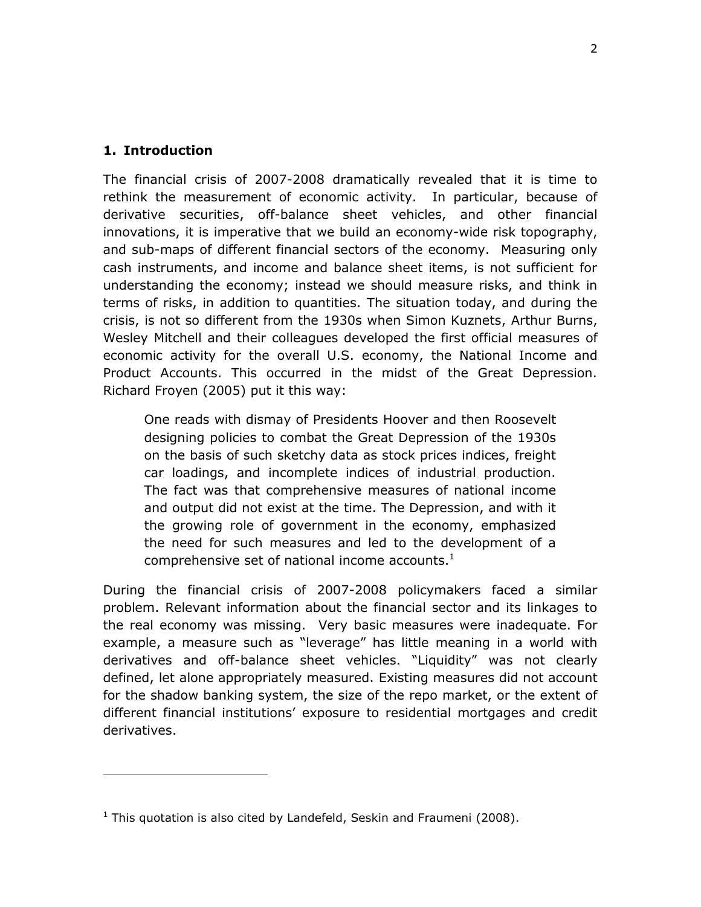#### **1. Introduction**

j

The financial crisis of 2007-2008 dramatically revealed that it is time to rethink the measurement of economic activity. In particular, because of derivative securities, off-balance sheet vehicles, and other financial innovations, it is imperative that we build an economy-wide risk topography, and sub-maps of different financial sectors of the economy. Measuring only cash instruments, and income and balance sheet items, is not sufficient for understanding the economy; instead we should measure risks, and think in terms of risks, in addition to quantities. The situation today, and during the crisis, is not so different from the 1930s when Simon Kuznets, Arthur Burns, Wesley Mitchell and their colleagues developed the first official measures of economic activity for the overall U.S. economy, the National Income and Product Accounts. This occurred in the midst of the Great Depression. Richard Froyen (2005) put it this way:

One reads with dismay of Presidents Hoover and then Roosevelt designing policies to combat the Great Depression of the 1930s on the basis of such sketchy data as stock prices indices, freight car loadings, and incomplete indices of industrial production. The fact was that comprehensive measures of national income and output did not exist at the time. The Depression, and with it the growing role of government in the economy, emphasized the need for such measures and led to the development of a comprehensive set of national income accounts. $<sup>1</sup>$ </sup>

During the financial crisis of 2007-2008 policymakers faced a similar problem. Relevant information about the financial sector and its linkages to the real economy was missing. Very basic measures were inadequate. For example, a measure such as "leverage" has little meaning in a world with derivatives and off-balance sheet vehicles. "Liquidity" was not clearly defined, let alone appropriately measured. Existing measures did not account for the shadow banking system, the size of the repo market, or the extent of different financial institutions' exposure to residential mortgages and credit derivatives.

 $1$  This quotation is also cited by Landefeld, Seskin and Fraumeni (2008).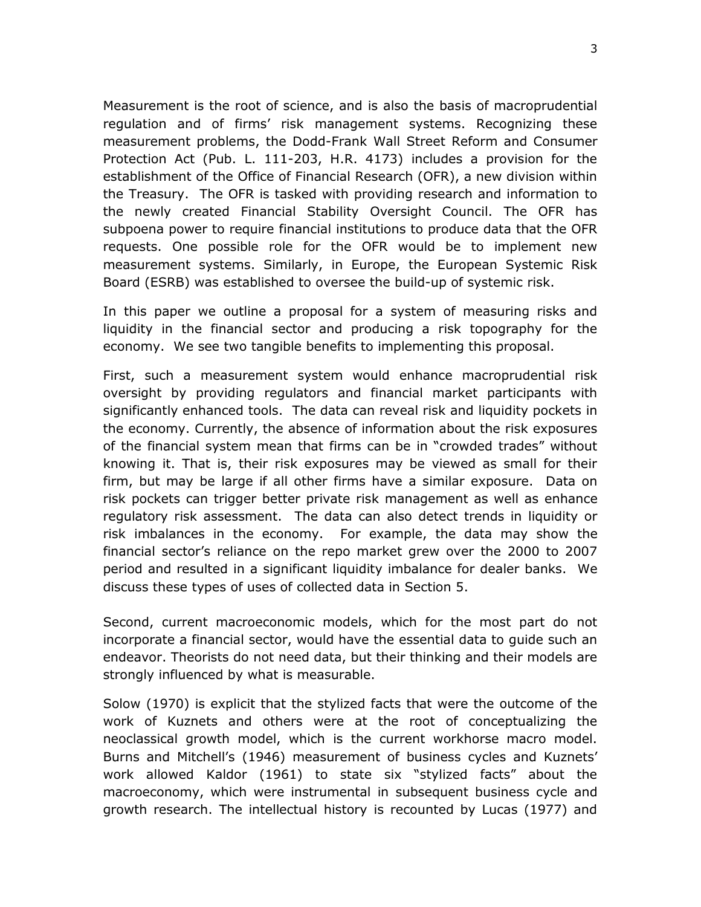Measurement is the root of science, and is also the basis of macroprudential regulation and of firms' risk management systems. Recognizing these measurement problems, the Dodd-Frank Wall Street Reform and Consumer Protection Act (Pub. L. 111-203, H.R. 4173) includes a provision for the establishment of the Office of Financial Research (OFR), a new division within the Treasury. The OFR is tasked with providing research and information to the newly created Financial Stability Oversight Council. The OFR has subpoena power to require financial institutions to produce data that the OFR requests. One possible role for the OFR would be to implement new measurement systems. Similarly, in Europe, the European Systemic Risk Board (ESRB) was established to oversee the build-up of systemic risk.

In this paper we outline a proposal for a system of measuring risks and liquidity in the financial sector and producing a risk topography for the economy. We see two tangible benefits to implementing this proposal.

First, such a measurement system would enhance macroprudential risk oversight by providing regulators and financial market participants with significantly enhanced tools. The data can reveal risk and liquidity pockets in the economy. Currently, the absence of information about the risk exposures of the financial system mean that firms can be in "crowded trades" without knowing it. That is, their risk exposures may be viewed as small for their firm, but may be large if all other firms have a similar exposure. Data on risk pockets can trigger better private risk management as well as enhance regulatory risk assessment. The data can also detect trends in liquidity or risk imbalances in the economy. For example, the data may show the financial sector's reliance on the repo market grew over the 2000 to 2007 period and resulted in a significant liquidity imbalance for dealer banks. We discuss these types of uses of collected data in Section 5.

Second, current macroeconomic models, which for the most part do not incorporate a financial sector, would have the essential data to guide such an endeavor. Theorists do not need data, but their thinking and their models are strongly influenced by what is measurable.

Solow (1970) is explicit that the stylized facts that were the outcome of the work of Kuznets and others were at the root of conceptualizing the neoclassical growth model, which is the current workhorse macro model. Burns and Mitchell's (1946) measurement of business cycles and Kuznets' work allowed Kaldor (1961) to state six "stylized facts" about the macroeconomy, which were instrumental in subsequent business cycle and growth research. The intellectual history is recounted by Lucas (1977) and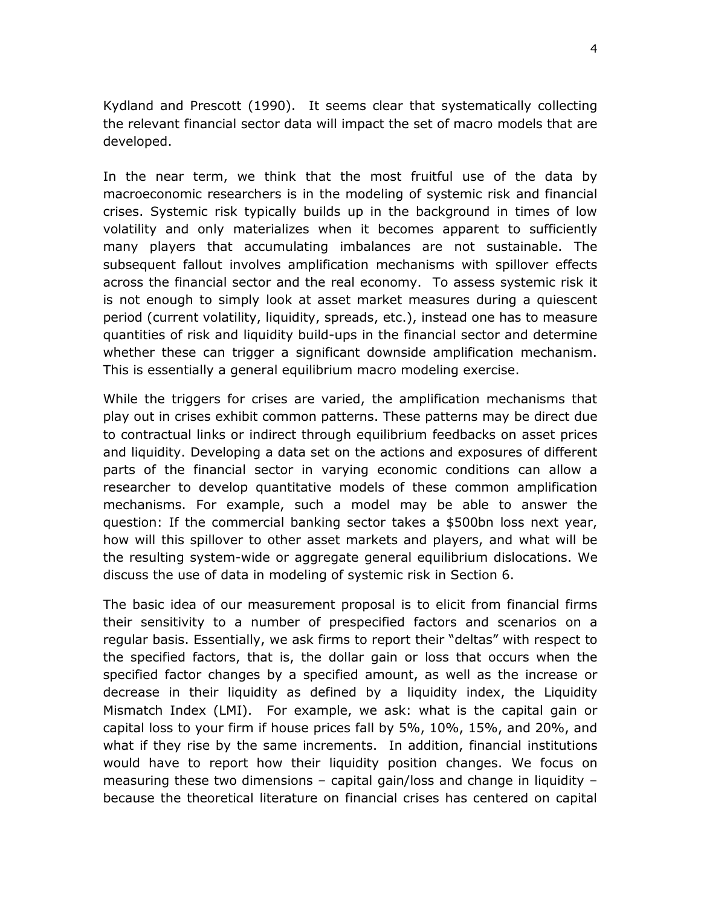Kydland and Prescott (1990). It seems clear that systematically collecting the relevant financial sector data will impact the set of macro models that are developed.

In the near term, we think that the most fruitful use of the data by macroeconomic researchers is in the modeling of systemic risk and financial crises. Systemic risk typically builds up in the background in times of low volatility and only materializes when it becomes apparent to sufficiently many players that accumulating imbalances are not sustainable. The subsequent fallout involves amplification mechanisms with spillover effects across the financial sector and the real economy. To assess systemic risk it is not enough to simply look at asset market measures during a quiescent period (current volatility, liquidity, spreads, etc.), instead one has to measure quantities of risk and liquidity build-ups in the financial sector and determine whether these can trigger a significant downside amplification mechanism. This is essentially a general equilibrium macro modeling exercise.

While the triggers for crises are varied, the amplification mechanisms that play out in crises exhibit common patterns. These patterns may be direct due to contractual links or indirect through equilibrium feedbacks on asset prices and liquidity. Developing a data set on the actions and exposures of different parts of the financial sector in varying economic conditions can allow a researcher to develop quantitative models of these common amplification mechanisms. For example, such a model may be able to answer the question: If the commercial banking sector takes a \$500bn loss next year, how will this spillover to other asset markets and players, and what will be the resulting system-wide or aggregate general equilibrium dislocations. We discuss the use of data in modeling of systemic risk in Section 6.

The basic idea of our measurement proposal is to elicit from financial firms their sensitivity to a number of prespecified factors and scenarios on a regular basis. Essentially, we ask firms to report their "deltas" with respect to the specified factors, that is, the dollar gain or loss that occurs when the specified factor changes by a specified amount, as well as the increase or decrease in their liquidity as defined by a liquidity index, the Liquidity Mismatch Index (LMI). For example, we ask: what is the capital gain or capital loss to your firm if house prices fall by 5%, 10%, 15%, and 20%, and what if they rise by the same increments. In addition, financial institutions would have to report how their liquidity position changes. We focus on measuring these two dimensions – capital gain/loss and change in liquidity – because the theoretical literature on financial crises has centered on capital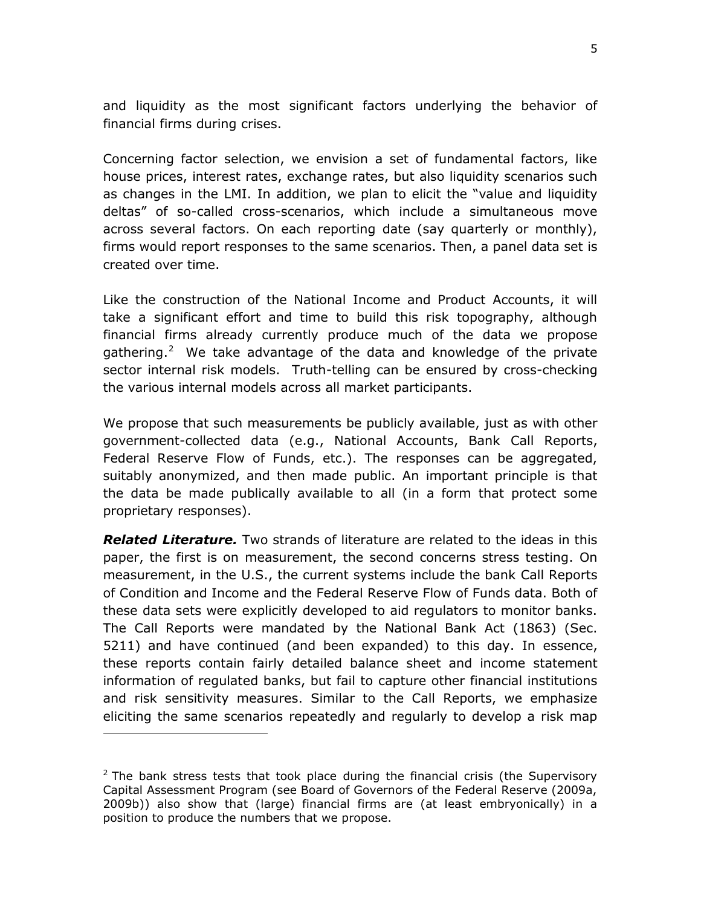and liquidity as the most significant factors underlying the behavior of financial firms during crises.

Concerning factor selection, we envision a set of fundamental factors, like house prices, interest rates, exchange rates, but also liquidity scenarios such as changes in the LMI. In addition, we plan to elicit the "value and liquidity deltas" of so-called cross-scenarios, which include a simultaneous move across several factors. On each reporting date (say quarterly or monthly), firms would report responses to the same scenarios. Then, a panel data set is created over time.

Like the construction of the National Income and Product Accounts, it will take a significant effort and time to build this risk topography, although financial firms already currently produce much of the data we propose gathering.<sup>2</sup> We take advantage of the data and knowledge of the private sector internal risk models. Truth-telling can be ensured by cross-checking the various internal models across all market participants.

We propose that such measurements be publicly available, just as with other government-collected data (e.g., National Accounts, Bank Call Reports, Federal Reserve Flow of Funds, etc.). The responses can be aggregated, suitably anonymized, and then made public. An important principle is that the data be made publically available to all (in a form that protect some proprietary responses).

*Related Literature.* Two strands of literature are related to the ideas in this paper, the first is on measurement, the second concerns stress testing. On measurement, in the U.S., the current systems include the bank Call Reports of Condition and Income and the Federal Reserve Flow of Funds data. Both of these data sets were explicitly developed to aid regulators to monitor banks. The Call Reports were mandated by the National Bank Act (1863) (Sec. 5211) and have continued (and been expanded) to this day. In essence, these reports contain fairly detailed balance sheet and income statement information of regulated banks, but fail to capture other financial institutions and risk sensitivity measures. Similar to the Call Reports, we emphasize eliciting the same scenarios repeatedly and regularly to develop a risk map

-

 $2$  The bank stress tests that took place during the financial crisis (the Supervisory Capital Assessment Program (see Board of Governors of the Federal Reserve (2009a, 2009b)) also show that (large) financial firms are (at least embryonically) in a position to produce the numbers that we propose.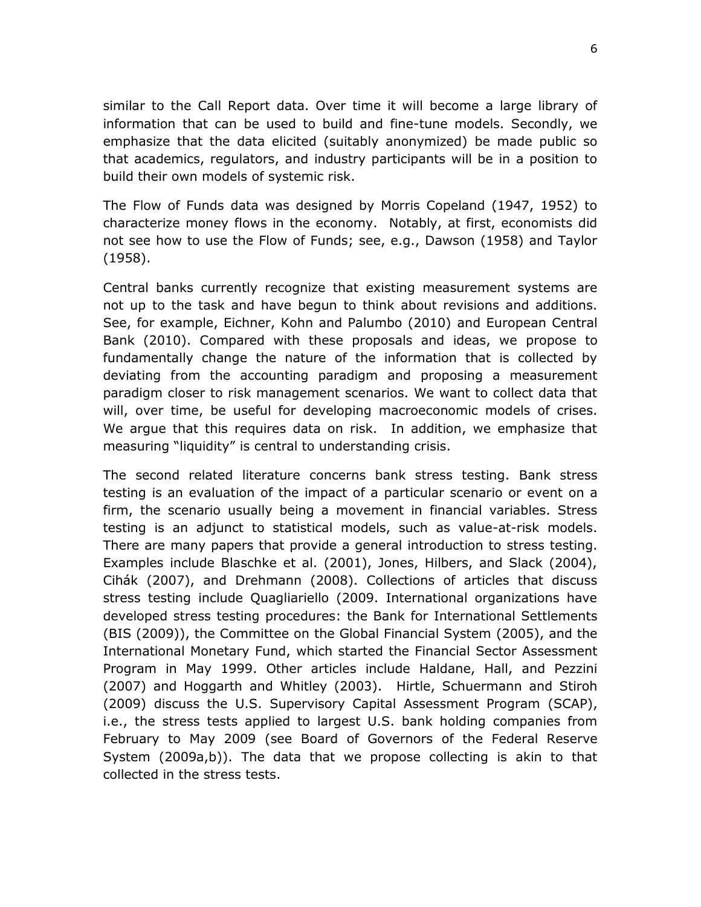similar to the Call Report data. Over time it will become a large library of information that can be used to build and fine-tune models. Secondly, we emphasize that the data elicited (suitably anonymized) be made public so that academics, regulators, and industry participants will be in a position to build their own models of systemic risk.

The Flow of Funds data was designed by Morris Copeland (1947, 1952) to characterize money flows in the economy. Notably, at first, economists did not see how to use the Flow of Funds; see, e.g., Dawson (1958) and Taylor (1958).

Central banks currently recognize that existing measurement systems are not up to the task and have begun to think about revisions and additions. See, for example, Eichner, Kohn and Palumbo (2010) and European Central Bank (2010). Compared with these proposals and ideas, we propose to fundamentally change the nature of the information that is collected by deviating from the accounting paradigm and proposing a measurement paradigm closer to risk management scenarios. We want to collect data that will, over time, be useful for developing macroeconomic models of crises. We argue that this requires data on risk. In addition, we emphasize that measuring "liquidity" is central to understanding crisis.

The second related literature concerns bank stress testing. Bank stress testing is an evaluation of the impact of a particular scenario or event on a firm, the scenario usually being a movement in financial variables. Stress testing is an adjunct to statistical models, such as value-at-risk models. There are many papers that provide a general introduction to stress testing. Examples include Blaschke et al. (2001), Jones, Hilbers, and Slack (2004), Cihák (2007), and Drehmann (2008). Collections of articles that discuss stress testing include Quagliariello (2009. International organizations have developed stress testing procedures: the Bank for International Settlements (BIS (2009)), the Committee on the Global Financial System (2005), and the International Monetary Fund, which started the Financial Sector Assessment Program in May 1999. Other articles include Haldane, Hall, and Pezzini (2007) and Hoggarth and Whitley (2003). Hirtle, Schuermann and Stiroh (2009) discuss the U.S. Supervisory Capital Assessment Program (SCAP), i.e., the stress tests applied to largest U.S. bank holding companies from February to May 2009 (see Board of Governors of the Federal Reserve System (2009a,b)). The data that we propose collecting is akin to that collected in the stress tests.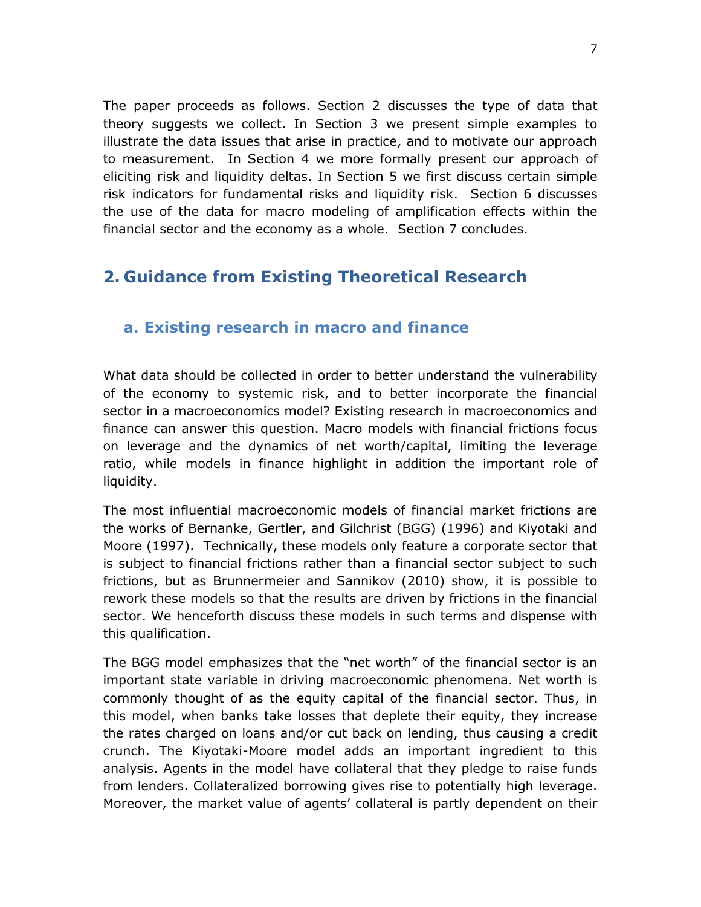The paper proceeds as follows. Section 2 discusses the type of data that theory suggests we collect. In Section 3 we present simple examples to illustrate the data issues that arise in practice, and to motivate our approach to measurement. In Section 4 we more formally present our approach of eliciting risk and liquidity deltas. In Section 5 we first discuss certain simple risk indicators for fundamental risks and liquidity risk. Section 6 discusses the use of the data for macro modeling of amplification effects within the financial sector and the economy as a whole. Section 7 concludes.

# **2. Guidance from Existing Theoretical Research**

## **a. Existing research in macro and finance**

What data should be collected in order to better understand the vulnerability of the economy to systemic risk, and to better incorporate the financial sector in a macroeconomics model? Existing research in macroeconomics and finance can answer this question. Macro models with financial frictions focus on leverage and the dynamics of net worth/capital, limiting the leverage ratio, while models in finance highlight in addition the important role of liquidity.

The most influential macroeconomic models of financial market frictions are the works of Bernanke, Gertler, and Gilchrist (BGG) (1996) and Kiyotaki and Moore (1997). Technically, these models only feature a corporate sector that is subject to financial frictions rather than a financial sector subject to such frictions, but as Brunnermeier and Sannikov (2010) show, it is possible to rework these models so that the results are driven by frictions in the financial sector. We henceforth discuss these models in such terms and dispense with this qualification.

The BGG model emphasizes that the "net worth" of the financial sector is an important state variable in driving macroeconomic phenomena. Net worth is commonly thought of as the equity capital of the financial sector. Thus, in this model, when banks take losses that deplete their equity, they increase the rates charged on loans and/or cut back on lending, thus causing a credit crunch. The Kiyotaki-Moore model adds an important ingredient to this analysis. Agents in the model have collateral that they pledge to raise funds from lenders. Collateralized borrowing gives rise to potentially high leverage. Moreover, the market value of agents' collateral is partly dependent on their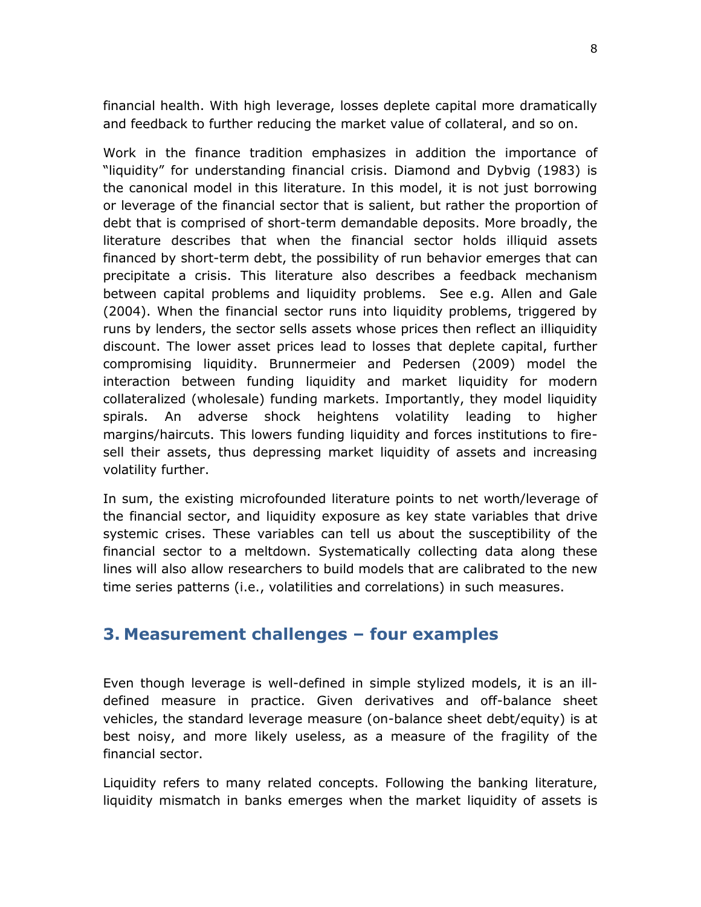financial health. With high leverage, losses deplete capital more dramatically and feedback to further reducing the market value of collateral, and so on.

Work in the finance tradition emphasizes in addition the importance of "liquidity" for understanding financial crisis. Diamond and Dybvig (1983) is the canonical model in this literature. In this model, it is not just borrowing or leverage of the financial sector that is salient, but rather the proportion of debt that is comprised of short-term demandable deposits. More broadly, the literature describes that when the financial sector holds illiquid assets financed by short-term debt, the possibility of run behavior emerges that can precipitate a crisis. This literature also describes a feedback mechanism between capital problems and liquidity problems. See e.g. Allen and Gale (2004). When the financial sector runs into liquidity problems, triggered by runs by lenders, the sector sells assets whose prices then reflect an illiquidity discount. The lower asset prices lead to losses that deplete capital, further compromising liquidity. Brunnermeier and Pedersen (2009) model the interaction between funding liquidity and market liquidity for modern collateralized (wholesale) funding markets. Importantly, they model liquidity spirals. An adverse shock heightens volatility leading to higher margins/haircuts. This lowers funding liquidity and forces institutions to firesell their assets, thus depressing market liquidity of assets and increasing volatility further.

In sum, the existing microfounded literature points to net worth/leverage of the financial sector, and liquidity exposure as key state variables that drive systemic crises. These variables can tell us about the susceptibility of the financial sector to a meltdown. Systematically collecting data along these lines will also allow researchers to build models that are calibrated to the new time series patterns (i.e., volatilities and correlations) in such measures.

## **3. Measurement challenges – four examples**

Even though leverage is well-defined in simple stylized models, it is an illdefined measure in practice. Given derivatives and off-balance sheet vehicles, the standard leverage measure (on-balance sheet debt/equity) is at best noisy, and more likely useless, as a measure of the fragility of the financial sector.

Liquidity refers to many related concepts. Following the banking literature, liquidity mismatch in banks emerges when the market liquidity of assets is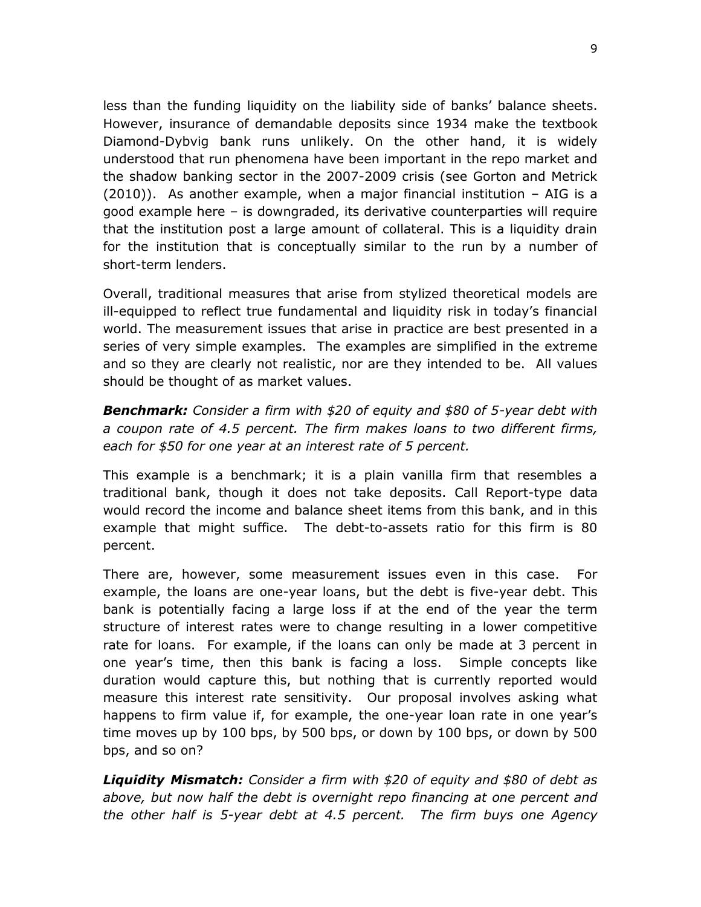less than the funding liquidity on the liability side of banks' balance sheets. However, insurance of demandable deposits since 1934 make the textbook Diamond-Dybvig bank runs unlikely. On the other hand, it is widely understood that run phenomena have been important in the repo market and the shadow banking sector in the 2007-2009 crisis (see Gorton and Metrick (2010)). As another example, when a major financial institution – AIG is a good example here – is downgraded, its derivative counterparties will require that the institution post a large amount of collateral. This is a liquidity drain for the institution that is conceptually similar to the run by a number of short-term lenders.

Overall, traditional measures that arise from stylized theoretical models are ill-equipped to reflect true fundamental and liquidity risk in today's financial world. The measurement issues that arise in practice are best presented in a series of very simple examples. The examples are simplified in the extreme and so they are clearly not realistic, nor are they intended to be. All values should be thought of as market values.

*Benchmark: Consider a firm with \$20 of equity and \$80 of 5-year debt with a coupon rate of 4.5 percent. The firm makes loans to two different firms, each for \$50 for one year at an interest rate of 5 percent.* 

This example is a benchmark; it is a plain vanilla firm that resembles a traditional bank, though it does not take deposits. Call Report-type data would record the income and balance sheet items from this bank, and in this example that might suffice. The debt-to-assets ratio for this firm is 80 percent.

There are, however, some measurement issues even in this case. For example, the loans are one-year loans, but the debt is five-year debt. This bank is potentially facing a large loss if at the end of the year the term structure of interest rates were to change resulting in a lower competitive rate for loans. For example, if the loans can only be made at 3 percent in one year's time, then this bank is facing a loss. Simple concepts like duration would capture this, but nothing that is currently reported would measure this interest rate sensitivity. Our proposal involves asking what happens to firm value if, for example, the one-year loan rate in one year's time moves up by 100 bps, by 500 bps, or down by 100 bps, or down by 500 bps, and so on?

*Liquidity Mismatch: Consider a firm with \$20 of equity and \$80 of debt as above, but now half the debt is overnight repo financing at one percent and the other half is 5-year debt at 4.5 percent. The firm buys one Agency*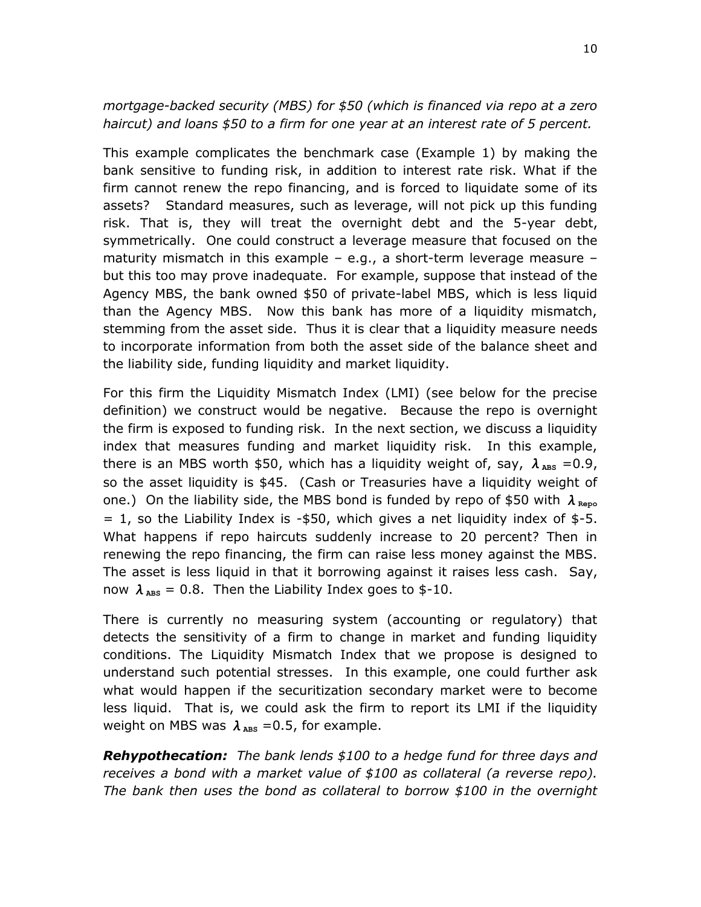#### *mortgage-backed security (MBS) for \$50 (which is financed via repo at a zero haircut) and loans \$50 to a firm for one year at an interest rate of 5 percent.*

This example complicates the benchmark case (Example 1) by making the bank sensitive to funding risk, in addition to interest rate risk. What if the firm cannot renew the repo financing, and is forced to liquidate some of its assets? Standard measures, such as leverage, will not pick up this funding risk. That is, they will treat the overnight debt and the 5-year debt, symmetrically. One could construct a leverage measure that focused on the maturity mismatch in this example – e.g., a short-term leverage measure – but this too may prove inadequate. For example, suppose that instead of the Agency MBS, the bank owned \$50 of private-label MBS, which is less liquid than the Agency MBS. Now this bank has more of a liquidity mismatch, stemming from the asset side. Thus it is clear that a liquidity measure needs to incorporate information from both the asset side of the balance sheet and the liability side, funding liquidity and market liquidity.

For this firm the Liquidity Mismatch Index (LMI) (see below for the precise definition) we construct would be negative. Because the repo is overnight the firm is exposed to funding risk. In the next section, we discuss a liquidity index that measures funding and market liquidity risk. In this example, there is an MBS worth \$50, which has a liquidity weight of, say,  $\lambda_{\text{abs}} = 0.9$ , so the asset liquidity is \$45. (Cash or Treasuries have a liquidity weight of one.) On the liability side, the MBS bond is funded by repo of \$50 with  $\lambda_{\text{Repo}}$  $= 1$ , so the Liability Index is -\$50, which gives a net liquidity index of \$-5. What happens if repo haircuts suddenly increase to 20 percent? Then in renewing the repo financing, the firm can raise less money against the MBS. The asset is less liquid in that it borrowing against it raises less cash. Say, now  $\lambda_{\text{abs}} = 0.8$ . Then the Liability Index goes to \$-10.

There is currently no measuring system (accounting or regulatory) that detects the sensitivity of a firm to change in market and funding liquidity conditions. The Liquidity Mismatch Index that we propose is designed to understand such potential stresses. In this example, one could further ask what would happen if the securitization secondary market were to become less liquid. That is, we could ask the firm to report its LMI if the liquidity weight on MBS was  $\lambda_{\text{abs}} = 0.5$ , for example.

*Rehypothecation: The bank lends \$100 to a hedge fund for three days and receives a bond with a market value of \$100 as collateral (a reverse repo). The bank then uses the bond as collateral to borrow \$100 in the overnight*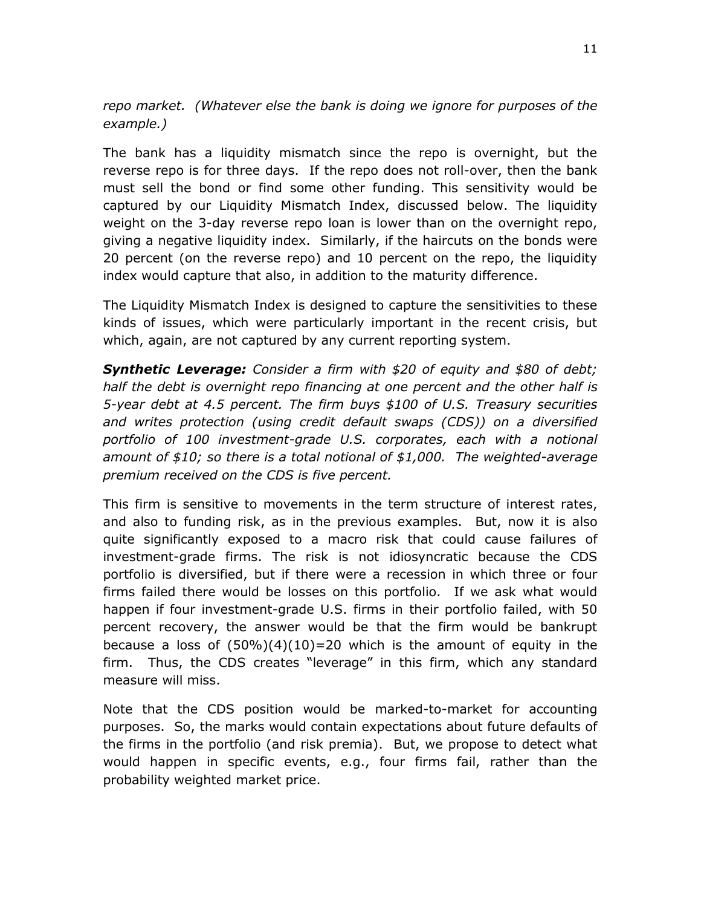*repo market. (Whatever else the bank is doing we ignore for purposes of the example.)*

The bank has a liquidity mismatch since the repo is overnight, but the reverse repo is for three days. If the repo does not roll-over, then the bank must sell the bond or find some other funding. This sensitivity would be captured by our Liquidity Mismatch Index, discussed below. The liquidity weight on the 3-day reverse repo loan is lower than on the overnight repo, giving a negative liquidity index. Similarly, if the haircuts on the bonds were 20 percent (on the reverse repo) and 10 percent on the repo, the liquidity index would capture that also, in addition to the maturity difference.

The Liquidity Mismatch Index is designed to capture the sensitivities to these kinds of issues, which were particularly important in the recent crisis, but which, again, are not captured by any current reporting system.

*Synthetic Leverage: Consider a firm with \$20 of equity and \$80 of debt; half the debt is overnight repo financing at one percent and the other half is 5-year debt at 4.5 percent. The firm buys \$100 of U.S. Treasury securities and writes protection (using credit default swaps (CDS)) on a diversified portfolio of 100 investment-grade U.S. corporates, each with a notional amount of \$10; so there is a total notional of \$1,000. The weighted-average premium received on the CDS is five percent.*

This firm is sensitive to movements in the term structure of interest rates, and also to funding risk, as in the previous examples. But, now it is also quite significantly exposed to a macro risk that could cause failures of investment-grade firms. The risk is not idiosyncratic because the CDS portfolio is diversified, but if there were a recession in which three or four firms failed there would be losses on this portfolio. If we ask what would happen if four investment-grade U.S. firms in their portfolio failed, with 50 percent recovery, the answer would be that the firm would be bankrupt because a loss of  $(50\%)(4)(10)=20$  which is the amount of equity in the firm. Thus, the CDS creates "leverage" in this firm, which any standard measure will miss.

Note that the CDS position would be marked-to-market for accounting purposes. So, the marks would contain expectations about future defaults of the firms in the portfolio (and risk premia). But, we propose to detect what would happen in specific events, e.g., four firms fail, rather than the probability weighted market price.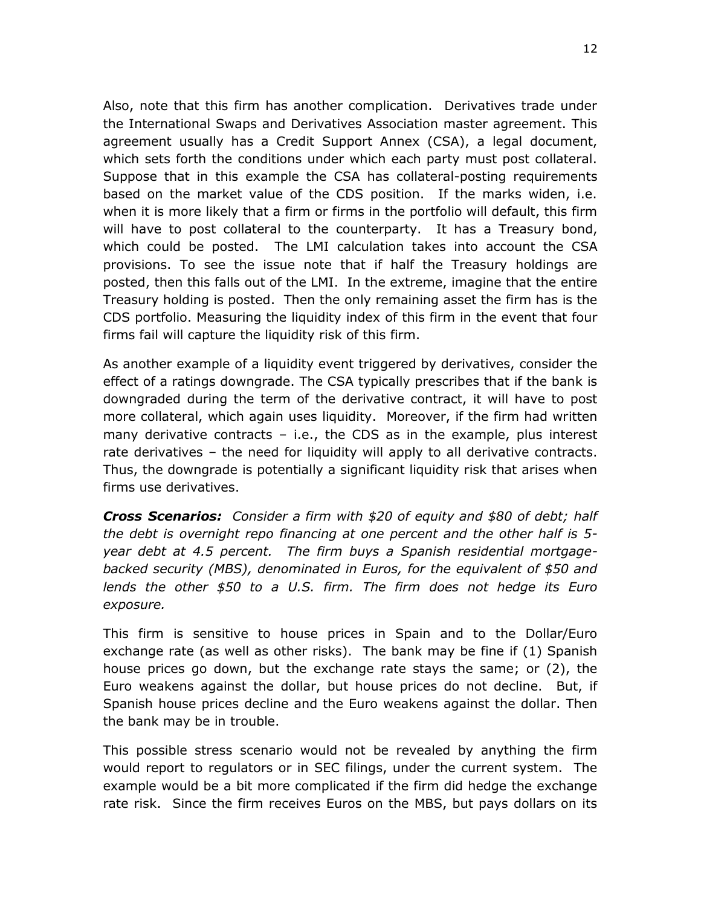Also, note that this firm has another complication. Derivatives trade under the International Swaps and Derivatives Association master agreement. This agreement usually has a Credit Support Annex (CSA), a legal document, which sets forth the conditions under which each party must post collateral. Suppose that in this example the CSA has collateral-posting requirements based on the market value of the CDS position. If the marks widen, i.e. when it is more likely that a firm or firms in the portfolio will default, this firm will have to post collateral to the counterparty. It has a Treasury bond, which could be posted. The LMI calculation takes into account the CSA provisions. To see the issue note that if half the Treasury holdings are posted, then this falls out of the LMI. In the extreme, imagine that the entire Treasury holding is posted. Then the only remaining asset the firm has is the CDS portfolio. Measuring the liquidity index of this firm in the event that four firms fail will capture the liquidity risk of this firm.

As another example of a liquidity event triggered by derivatives, consider the effect of a ratings downgrade. The CSA typically prescribes that if the bank is downgraded during the term of the derivative contract, it will have to post more collateral, which again uses liquidity. Moreover, if the firm had written many derivative contracts  $-$  i.e., the CDS as in the example, plus interest rate derivatives – the need for liquidity will apply to all derivative contracts. Thus, the downgrade is potentially a significant liquidity risk that arises when firms use derivatives.

*Cross Scenarios: Consider a firm with \$20 of equity and \$80 of debt; half the debt is overnight repo financing at one percent and the other half is 5 year debt at 4.5 percent. The firm buys a Spanish residential mortgagebacked security (MBS), denominated in Euros, for the equivalent of \$50 and lends the other \$50 to a U.S. firm. The firm does not hedge its Euro exposure.*

This firm is sensitive to house prices in Spain and to the Dollar/Euro exchange rate (as well as other risks). The bank may be fine if (1) Spanish house prices go down, but the exchange rate stays the same; or (2), the Euro weakens against the dollar, but house prices do not decline. But, if Spanish house prices decline and the Euro weakens against the dollar. Then the bank may be in trouble.

This possible stress scenario would not be revealed by anything the firm would report to regulators or in SEC filings, under the current system. The example would be a bit more complicated if the firm did hedge the exchange rate risk. Since the firm receives Euros on the MBS, but pays dollars on its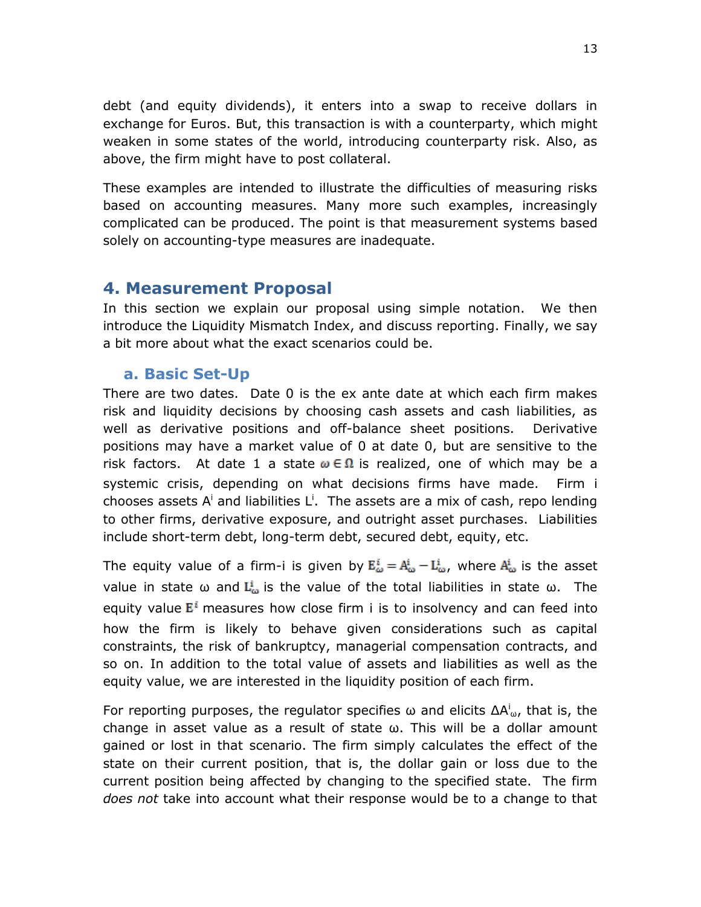debt (and equity dividends), it enters into a swap to receive dollars in exchange for Euros. But, this transaction is with a counterparty, which might weaken in some states of the world, introducing counterparty risk. Also, as above, the firm might have to post collateral.

These examples are intended to illustrate the difficulties of measuring risks based on accounting measures. Many more such examples, increasingly complicated can be produced. The point is that measurement systems based solely on accounting-type measures are inadequate.

## **4. Measurement Proposal**

In this section we explain our proposal using simple notation. We then introduce the Liquidity Mismatch Index, and discuss reporting. Finally, we say a bit more about what the exact scenarios could be.

### **a. Basic Set-Up**

There are two dates. Date 0 is the ex ante date at which each firm makes risk and liquidity decisions by choosing cash assets and cash liabilities, as well as derivative positions and off-balance sheet positions. Derivative positions may have a market value of 0 at date 0, but are sensitive to the risk factors. At date 1 a state  $\omega \in \Omega$  is realized, one of which may be a systemic crisis, depending on what decisions firms have made. Firm i chooses assets  $A^i$  and liabilities  $L^i$ . The assets are a mix of cash, repo lending to other firms, derivative exposure, and outright asset purchases. Liabilities include short-term debt, long-term debt, secured debt, equity, etc.

The equity value of a firm-i is given by  $E_{\omega}^i = A_{\omega}^i - L_{\omega}^i$ , where  $A_{\omega}^i$  is the asset value in state  $\omega$  and  $I_{\omega}^{i}$  is the value of the total liabilities in state  $\omega$ . The equity value  $E^i$  measures how close firm i is to insolvency and can feed into how the firm is likely to behave given considerations such as capital constraints, the risk of bankruptcy, managerial compensation contracts, and so on. In addition to the total value of assets and liabilities as well as the equity value, we are interested in the liquidity position of each firm.

For reporting purposes, the regulator specifies  $ω$  and elicits  $ΔA<sup>i</sup><sub>ω</sub>$ , that is, the change in asset value as a result of state  $\omega$ . This will be a dollar amount gained or lost in that scenario. The firm simply calculates the effect of the state on their current position, that is, the dollar gain or loss due to the current position being affected by changing to the specified state. The firm *does not* take into account what their response would be to a change to that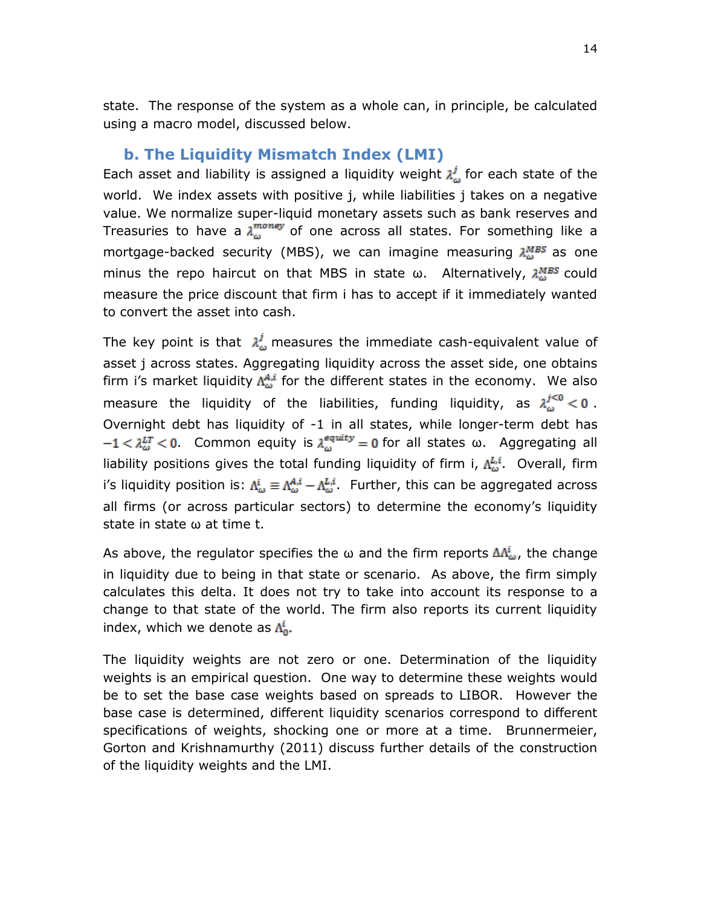state. The response of the system as a whole can, in principle, be calculated using a macro model, discussed below.

### **b. The Liquidity Mismatch Index (LMI)**

Each asset and liability is assigned a liquidity weight  $\lambda_{\omega}^{j}$  for each state of the world. We index assets with positive j, while liabilities j takes on a negative value. We normalize super-liquid monetary assets such as bank reserves and Treasuries to have a  $\lambda_{\omega}^{money}$  of one across all states. For something like a mortgage-backed security (MBS), we can imagine measuring  $\lambda_{\omega}^{MBS}$  as one minus the repo haircut on that MBS in state ω. Alternatively,  $\lambda_{\omega}^{MBS}$  could measure the price discount that firm i has to accept if it immediately wanted to convert the asset into cash.

The key point is that  $\lambda_{\omega}^{j}$  measures the immediate cash-equivalent value of asset j across states. Aggregating liquidity across the asset side, one obtains firm i's market liquidity  $\Lambda^{A,i}_{\omega}$  for the different states in the economy. We also measure the liquidity of the liabilities, funding liquidity, as  $\lambda_{\omega}^{j<0} < 0$ . Overnight debt has liquidity of -1 in all states, while longer-term debt has  $-1 < \lambda_{\omega}^{LT} < 0$ . Common equity is  $\lambda_{\omega}^{equity} = 0$  for all states  $\omega$ . Aggregating all liability positions gives the total funding liquidity of firm i,  $\Lambda_{\omega}^{L,i}$ . Overall, firm i's liquidity position is:  $\Lambda^i_\omega \equiv \Lambda^{A,i}_\omega - \Lambda^{L,i}_\omega$ . Further, this can be aggregated across all firms (or across particular sectors) to determine the economy's liquidity state in state ω at time t.

As above, the regulator specifies the  $\omega$  and the firm reports  $\Delta \Lambda^i_{\omega}$ , the change in liquidity due to being in that state or scenario. As above, the firm simply calculates this delta. It does not try to take into account its response to a change to that state of the world. The firm also reports its current liquidity index, which we denote as  $\Lambda_0^i$ .

The liquidity weights are not zero or one. Determination of the liquidity weights is an empirical question. One way to determine these weights would be to set the base case weights based on spreads to LIBOR. However the base case is determined, different liquidity scenarios correspond to different specifications of weights, shocking one or more at a time. Brunnermeier, Gorton and Krishnamurthy (2011) discuss further details of the construction of the liquidity weights and the LMI.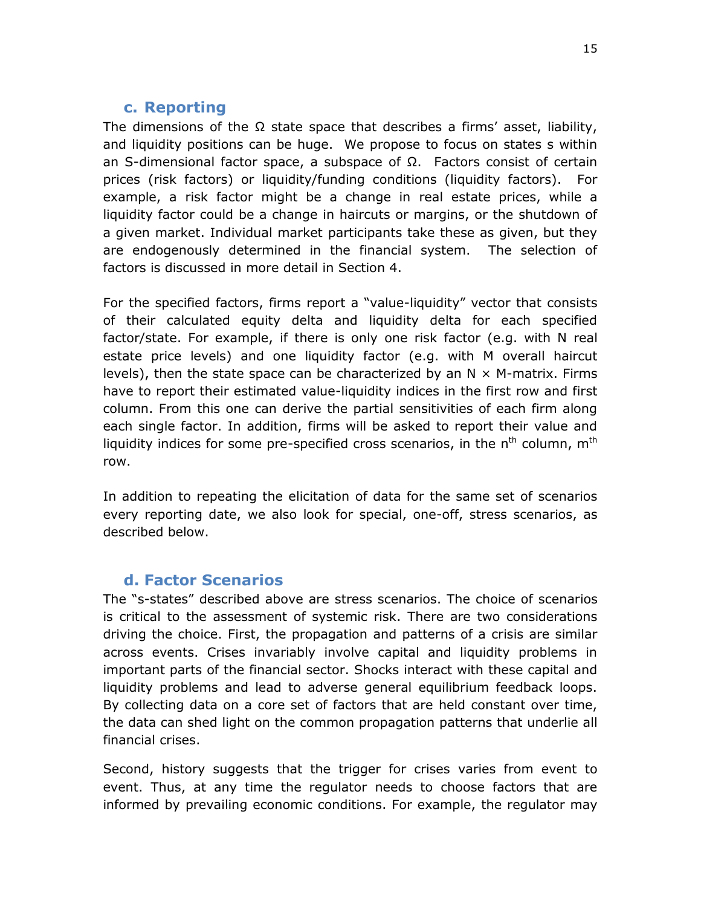### **c. Reporting**

The dimensions of the  $\Omega$  state space that describes a firms' asset, liability, and liquidity positions can be huge. We propose to focus on states s within an S-dimensional factor space, a subspace of Ω. Factors consist of certain prices (risk factors) or liquidity/funding conditions (liquidity factors). For example, a risk factor might be a change in real estate prices, while a liquidity factor could be a change in haircuts or margins, or the shutdown of a given market. Individual market participants take these as given, but they are endogenously determined in the financial system. The selection of factors is discussed in more detail in Section 4.

For the specified factors, firms report a "value-liquidity" vector that consists of their calculated equity delta and liquidity delta for each specified factor/state. For example, if there is only one risk factor (e.g. with N real estate price levels) and one liquidity factor (e.g. with M overall haircut levels), then the state space can be characterized by an  $N \times M$ -matrix. Firms have to report their estimated value-liquidity indices in the first row and first column. From this one can derive the partial sensitivities of each firm along each single factor. In addition, firms will be asked to report their value and liquidity indices for some pre-specified cross scenarios, in the n<sup>th</sup> column, m<sup>th</sup> row.

In addition to repeating the elicitation of data for the same set of scenarios every reporting date, we also look for special, one-off, stress scenarios, as described below.

#### **d. Factor Scenarios**

The "s-states" described above are stress scenarios. The choice of scenarios is critical to the assessment of systemic risk. There are two considerations driving the choice. First, the propagation and patterns of a crisis are similar across events. Crises invariably involve capital and liquidity problems in important parts of the financial sector. Shocks interact with these capital and liquidity problems and lead to adverse general equilibrium feedback loops. By collecting data on a core set of factors that are held constant over time, the data can shed light on the common propagation patterns that underlie all financial crises.

Second, history suggests that the trigger for crises varies from event to event. Thus, at any time the regulator needs to choose factors that are informed by prevailing economic conditions. For example, the regulator may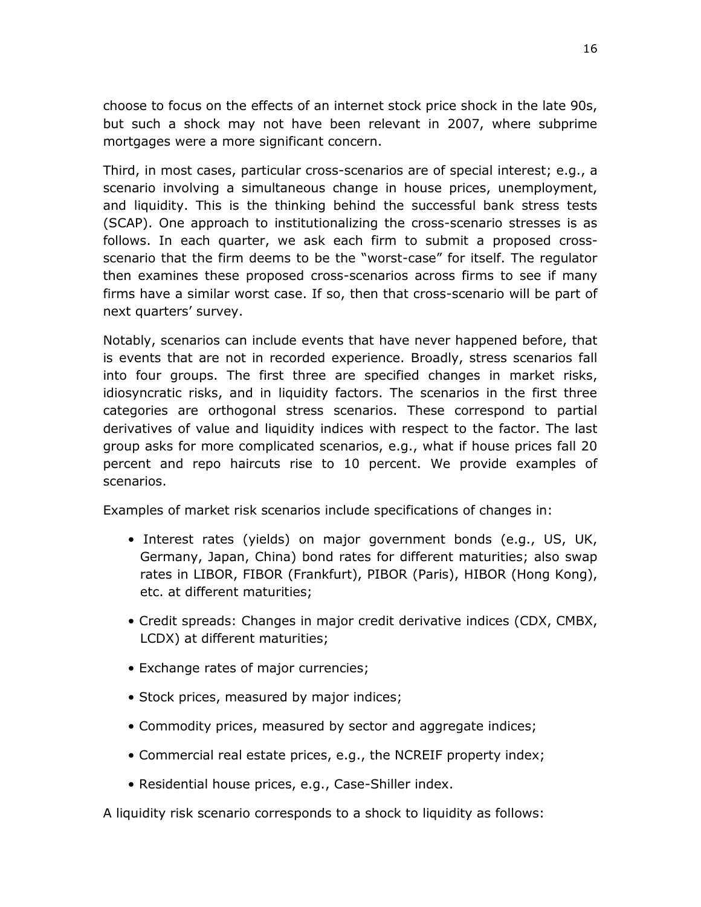choose to focus on the effects of an internet stock price shock in the late 90s, but such a shock may not have been relevant in 2007, where subprime mortgages were a more significant concern.

Third, in most cases, particular cross-scenarios are of special interest; e.g., a scenario involving a simultaneous change in house prices, unemployment, and liquidity. This is the thinking behind the successful bank stress tests (SCAP). One approach to institutionalizing the cross-scenario stresses is as follows. In each quarter, we ask each firm to submit a proposed crossscenario that the firm deems to be the "worst-case" for itself. The regulator then examines these proposed cross-scenarios across firms to see if many firms have a similar worst case. If so, then that cross-scenario will be part of next quarters' survey.

Notably, scenarios can include events that have never happened before, that is events that are not in recorded experience. Broadly, stress scenarios fall into four groups. The first three are specified changes in market risks, idiosyncratic risks, and in liquidity factors. The scenarios in the first three categories are orthogonal stress scenarios. These correspond to partial derivatives of value and liquidity indices with respect to the factor. The last group asks for more complicated scenarios, e.g., what if house prices fall 20 percent and repo haircuts rise to 10 percent. We provide examples of scenarios.

Examples of market risk scenarios include specifications of changes in:

- Interest rates (yields) on major government bonds (e.g., US, UK, Germany, Japan, China) bond rates for different maturities; also swap rates in LIBOR, FIBOR (Frankfurt), PIBOR (Paris), HIBOR (Hong Kong), etc. at different maturities;
- Credit spreads: Changes in major credit derivative indices (CDX, CMBX, LCDX) at different maturities;
- Exchange rates of major currencies;
- Stock prices, measured by major indices;
- Commodity prices, measured by sector and aggregate indices;
- Commercial real estate prices, e.g., the NCREIF property index;
- Residential house prices, e.g., Case-Shiller index.

A liquidity risk scenario corresponds to a shock to liquidity as follows: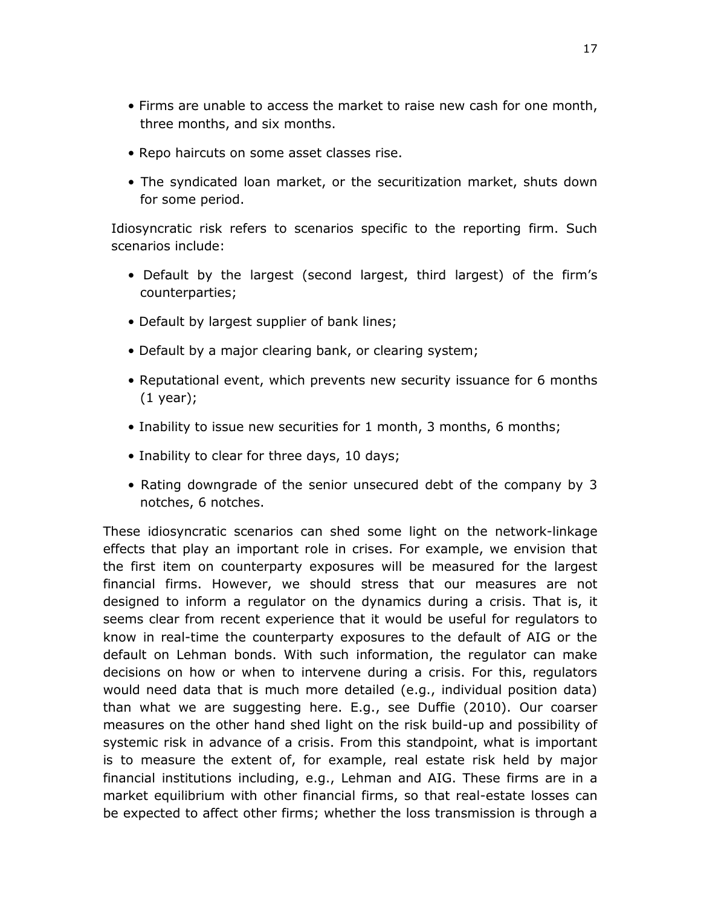- Firms are unable to access the market to raise new cash for one month, three months, and six months.
- Repo haircuts on some asset classes rise.
- The syndicated loan market, or the securitization market, shuts down for some period.

Idiosyncratic risk refers to scenarios specific to the reporting firm. Such scenarios include:

- Default by the largest (second largest, third largest) of the firm's counterparties;
- Default by largest supplier of bank lines;
- Default by a major clearing bank, or clearing system;
- Reputational event, which prevents new security issuance for 6 months (1 year);
- Inability to issue new securities for 1 month, 3 months, 6 months;
- Inability to clear for three days, 10 days;
- Rating downgrade of the senior unsecured debt of the company by 3 notches, 6 notches.

These idiosyncratic scenarios can shed some light on the network-linkage effects that play an important role in crises. For example, we envision that the first item on counterparty exposures will be measured for the largest financial firms. However, we should stress that our measures are not designed to inform a regulator on the dynamics during a crisis. That is, it seems clear from recent experience that it would be useful for regulators to know in real-time the counterparty exposures to the default of AIG or the default on Lehman bonds. With such information, the regulator can make decisions on how or when to intervene during a crisis. For this, regulators would need data that is much more detailed (e.g., individual position data) than what we are suggesting here. E.g., see Duffie (2010). Our coarser measures on the other hand shed light on the risk build-up and possibility of systemic risk in advance of a crisis. From this standpoint, what is important is to measure the extent of, for example, real estate risk held by major financial institutions including, e.g., Lehman and AIG. These firms are in a market equilibrium with other financial firms, so that real-estate losses can be expected to affect other firms; whether the loss transmission is through a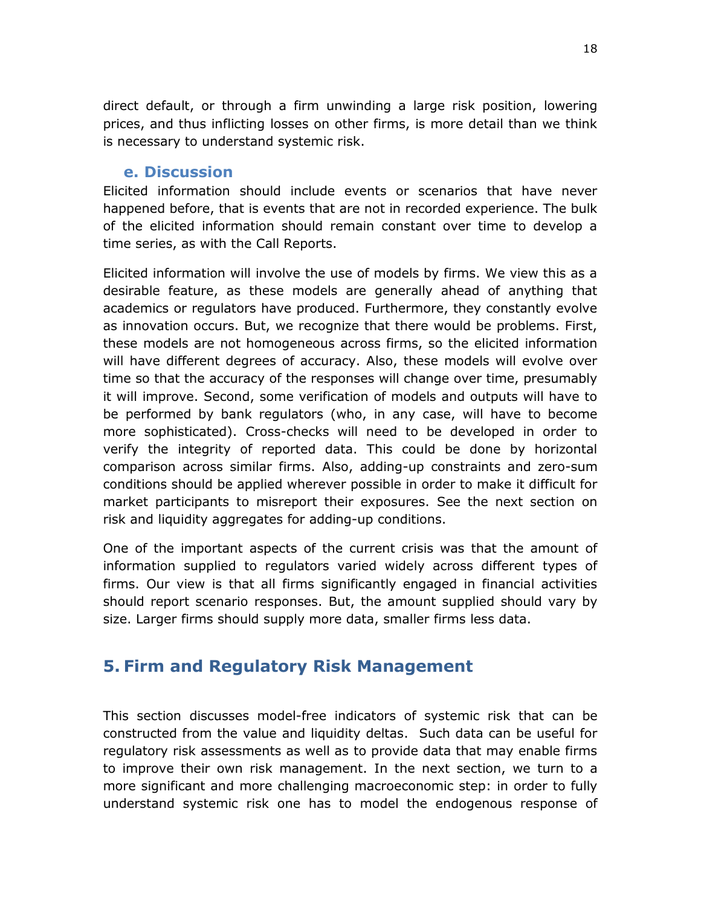direct default, or through a firm unwinding a large risk position, lowering prices, and thus inflicting losses on other firms, is more detail than we think is necessary to understand systemic risk.

#### **e. Discussion**

Elicited information should include events or scenarios that have never happened before, that is events that are not in recorded experience. The bulk of the elicited information should remain constant over time to develop a time series, as with the Call Reports.

Elicited information will involve the use of models by firms. We view this as a desirable feature, as these models are generally ahead of anything that academics or regulators have produced. Furthermore, they constantly evolve as innovation occurs. But, we recognize that there would be problems. First, these models are not homogeneous across firms, so the elicited information will have different degrees of accuracy. Also, these models will evolve over time so that the accuracy of the responses will change over time, presumably it will improve. Second, some verification of models and outputs will have to be performed by bank regulators (who, in any case, will have to become more sophisticated). Cross-checks will need to be developed in order to verify the integrity of reported data. This could be done by horizontal comparison across similar firms. Also, adding-up constraints and zero-sum conditions should be applied wherever possible in order to make it difficult for market participants to misreport their exposures. See the next section on risk and liquidity aggregates for adding-up conditions.

One of the important aspects of the current crisis was that the amount of information supplied to regulators varied widely across different types of firms. Our view is that all firms significantly engaged in financial activities should report scenario responses. But, the amount supplied should vary by size. Larger firms should supply more data, smaller firms less data.

## **5. Firm and Regulatory Risk Management**

This section discusses model-free indicators of systemic risk that can be constructed from the value and liquidity deltas. Such data can be useful for regulatory risk assessments as well as to provide data that may enable firms to improve their own risk management. In the next section, we turn to a more significant and more challenging macroeconomic step: in order to fully understand systemic risk one has to model the endogenous response of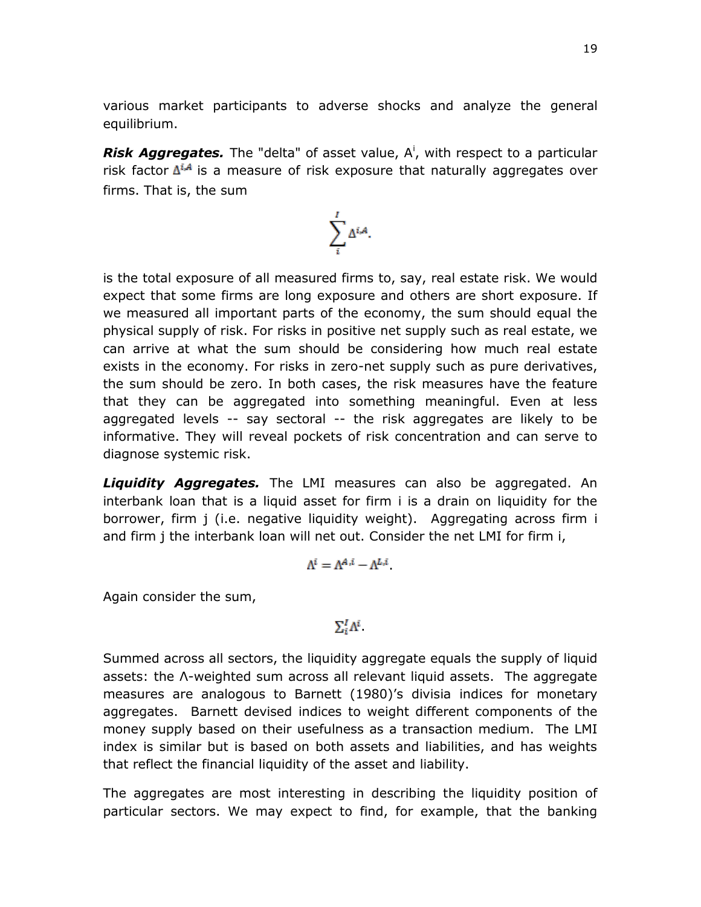various market participants to adverse shocks and analyze the general equilibrium.

**Risk Aggregates.** The "delta" of asset value, A<sup>i</sup>, with respect to a particular risk factor  $\Delta^{i,A}$  is a measure of risk exposure that naturally aggregates over firms. That is, the sum



is the total exposure of all measured firms to, say, real estate risk. We would expect that some firms are long exposure and others are short exposure. If we measured all important parts of the economy, the sum should equal the physical supply of risk. For risks in positive net supply such as real estate, we can arrive at what the sum should be considering how much real estate exists in the economy. For risks in zero-net supply such as pure derivatives, the sum should be zero. In both cases, the risk measures have the feature that they can be aggregated into something meaningful. Even at less aggregated levels -- say sectoral -- the risk aggregates are likely to be informative. They will reveal pockets of risk concentration and can serve to diagnose systemic risk.

*Liquidity Aggregates.* The LMI measures can also be aggregated. An interbank loan that is a liquid asset for firm i is a drain on liquidity for the borrower, firm j (i.e. negative liquidity weight). Aggregating across firm i and firm j the interbank loan will net out. Consider the net LMI for firm i,

$$
\Lambda^i=\Lambda^{A,i}-\Lambda^{L,i}
$$

Again consider the sum,

#### $\Sigma^I_i \Lambda^i$

Summed across all sectors, the liquidity aggregate equals the supply of liquid assets: the Λ-weighted sum across all relevant liquid assets. The aggregate measures are analogous to Barnett (1980)'s divisia indices for monetary aggregates. Barnett devised indices to weight different components of the money supply based on their usefulness as a transaction medium. The LMI index is similar but is based on both assets and liabilities, and has weights that reflect the financial liquidity of the asset and liability.

The aggregates are most interesting in describing the liquidity position of particular sectors. We may expect to find, for example, that the banking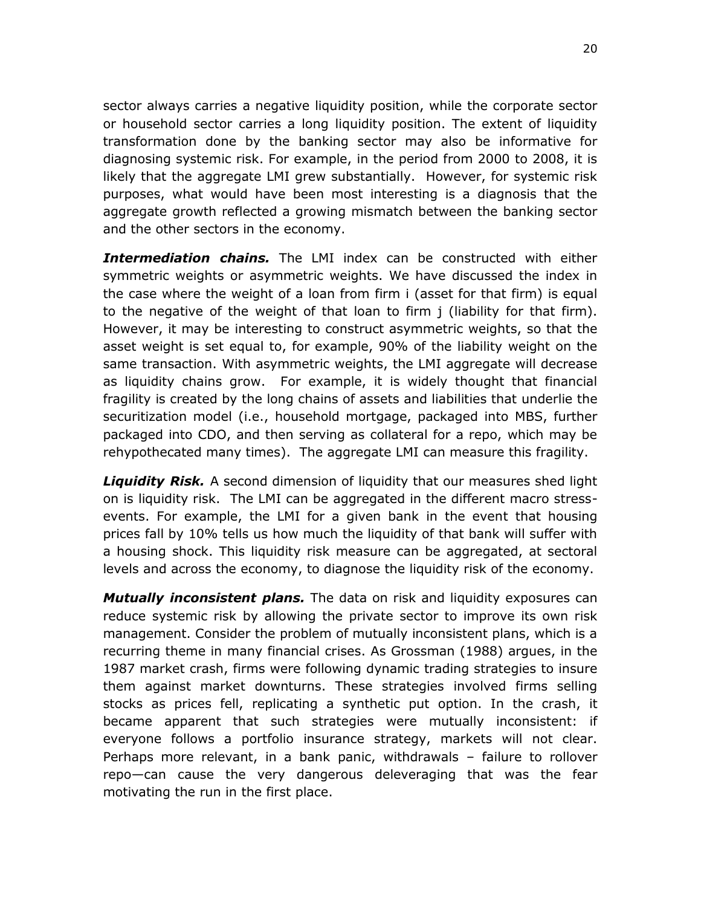sector always carries a negative liquidity position, while the corporate sector or household sector carries a long liquidity position. The extent of liquidity transformation done by the banking sector may also be informative for diagnosing systemic risk. For example, in the period from 2000 to 2008, it is likely that the aggregate LMI grew substantially. However, for systemic risk purposes, what would have been most interesting is a diagnosis that the aggregate growth reflected a growing mismatch between the banking sector and the other sectors in the economy.

*Intermediation chains.* The LMI index can be constructed with either symmetric weights or asymmetric weights. We have discussed the index in the case where the weight of a loan from firm i (asset for that firm) is equal to the negative of the weight of that loan to firm j (liability for that firm). However, it may be interesting to construct asymmetric weights, so that the asset weight is set equal to, for example, 90% of the liability weight on the same transaction. With asymmetric weights, the LMI aggregate will decrease as liquidity chains grow. For example, it is widely thought that financial fragility is created by the long chains of assets and liabilities that underlie the securitization model (i.e., household mortgage, packaged into MBS, further packaged into CDO, and then serving as collateral for a repo, which may be rehypothecated many times). The aggregate LMI can measure this fragility.

*Liquidity Risk.* A second dimension of liquidity that our measures shed light on is liquidity risk. The LMI can be aggregated in the different macro stressevents. For example, the LMI for a given bank in the event that housing prices fall by 10% tells us how much the liquidity of that bank will suffer with a housing shock. This liquidity risk measure can be aggregated, at sectoral levels and across the economy, to diagnose the liquidity risk of the economy.

*Mutually inconsistent plans.* The data on risk and liquidity exposures can reduce systemic risk by allowing the private sector to improve its own risk management. Consider the problem of mutually inconsistent plans, which is a recurring theme in many financial crises. As Grossman (1988) argues, in the 1987 market crash, firms were following dynamic trading strategies to insure them against market downturns. These strategies involved firms selling stocks as prices fell, replicating a synthetic put option. In the crash, it became apparent that such strategies were mutually inconsistent: if everyone follows a portfolio insurance strategy, markets will not clear. Perhaps more relevant, in a bank panic, withdrawals – failure to rollover repo—can cause the very dangerous deleveraging that was the fear motivating the run in the first place.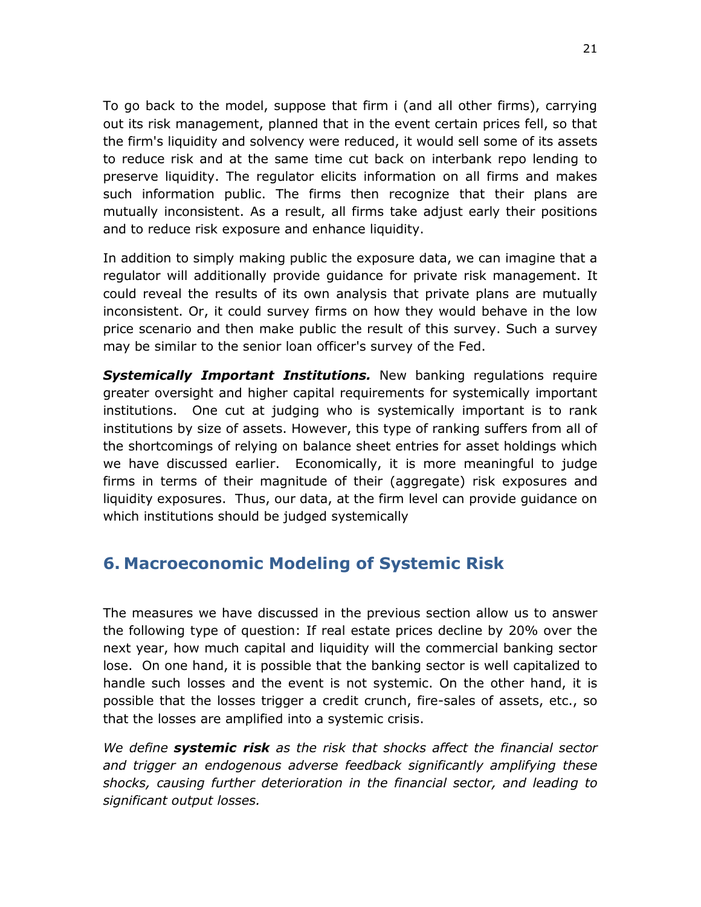To go back to the model, suppose that firm i (and all other firms), carrying out its risk management, planned that in the event certain prices fell, so that the firm's liquidity and solvency were reduced, it would sell some of its assets to reduce risk and at the same time cut back on interbank repo lending to preserve liquidity. The regulator elicits information on all firms and makes such information public. The firms then recognize that their plans are mutually inconsistent. As a result, all firms take adjust early their positions and to reduce risk exposure and enhance liquidity.

In addition to simply making public the exposure data, we can imagine that a regulator will additionally provide guidance for private risk management. It could reveal the results of its own analysis that private plans are mutually inconsistent. Or, it could survey firms on how they would behave in the low price scenario and then make public the result of this survey. Such a survey may be similar to the senior loan officer's survey of the Fed.

*Systemically Important Institutions.* New banking regulations require greater oversight and higher capital requirements for systemically important institutions. One cut at judging who is systemically important is to rank institutions by size of assets. However, this type of ranking suffers from all of the shortcomings of relying on balance sheet entries for asset holdings which we have discussed earlier. Economically, it is more meaningful to judge firms in terms of their magnitude of their (aggregate) risk exposures and liquidity exposures. Thus, our data, at the firm level can provide guidance on which institutions should be judged systemically

## **6. Macroeconomic Modeling of Systemic Risk**

The measures we have discussed in the previous section allow us to answer the following type of question: If real estate prices decline by 20% over the next year, how much capital and liquidity will the commercial banking sector lose. On one hand, it is possible that the banking sector is well capitalized to handle such losses and the event is not systemic. On the other hand, it is possible that the losses trigger a credit crunch, fire-sales of assets, etc., so that the losses are amplified into a systemic crisis.

*We define systemic risk as the risk that shocks affect the financial sector and trigger an endogenous adverse feedback significantly amplifying these shocks, causing further deterioration in the financial sector, and leading to significant output losses.*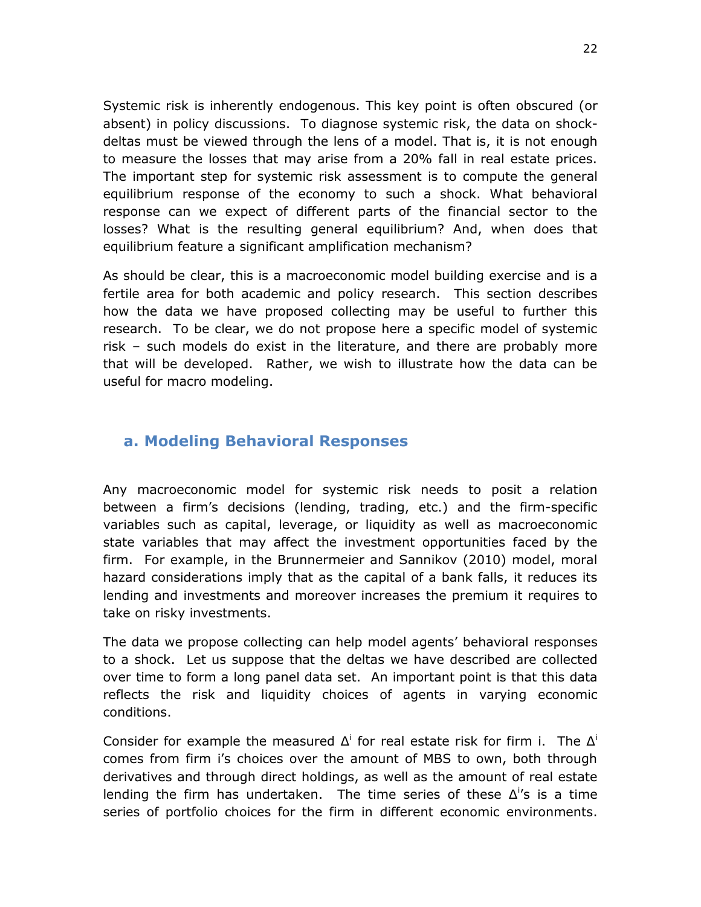Systemic risk is inherently endogenous. This key point is often obscured (or absent) in policy discussions. To diagnose systemic risk, the data on shockdeltas must be viewed through the lens of a model. That is, it is not enough to measure the losses that may arise from a 20% fall in real estate prices. The important step for systemic risk assessment is to compute the general equilibrium response of the economy to such a shock. What behavioral response can we expect of different parts of the financial sector to the losses? What is the resulting general equilibrium? And, when does that equilibrium feature a significant amplification mechanism?

As should be clear, this is a macroeconomic model building exercise and is a fertile area for both academic and policy research. This section describes how the data we have proposed collecting may be useful to further this research. To be clear, we do not propose here a specific model of systemic risk – such models do exist in the literature, and there are probably more that will be developed. Rather, we wish to illustrate how the data can be useful for macro modeling.

## **a. Modeling Behavioral Responses**

Any macroeconomic model for systemic risk needs to posit a relation between a firm's decisions (lending, trading, etc.) and the firm-specific variables such as capital, leverage, or liquidity as well as macroeconomic state variables that may affect the investment opportunities faced by the firm. For example, in the Brunnermeier and Sannikov (2010) model, moral hazard considerations imply that as the capital of a bank falls, it reduces its lending and investments and moreover increases the premium it requires to take on risky investments.

The data we propose collecting can help model agents' behavioral responses to a shock. Let us suppose that the deltas we have described are collected over time to form a long panel data set. An important point is that this data reflects the risk and liquidity choices of agents in varying economic conditions.

Consider for example the measured  $\Delta^{\text{I}}$  for real estate risk for firm i. The  $\Delta^{\text{I}}$ comes from firm i's choices over the amount of MBS to own, both through derivatives and through direct holdings, as well as the amount of real estate lending the firm has undertaken. The time series of these  $\Delta^{i}$ 's is a time series of portfolio choices for the firm in different economic environments.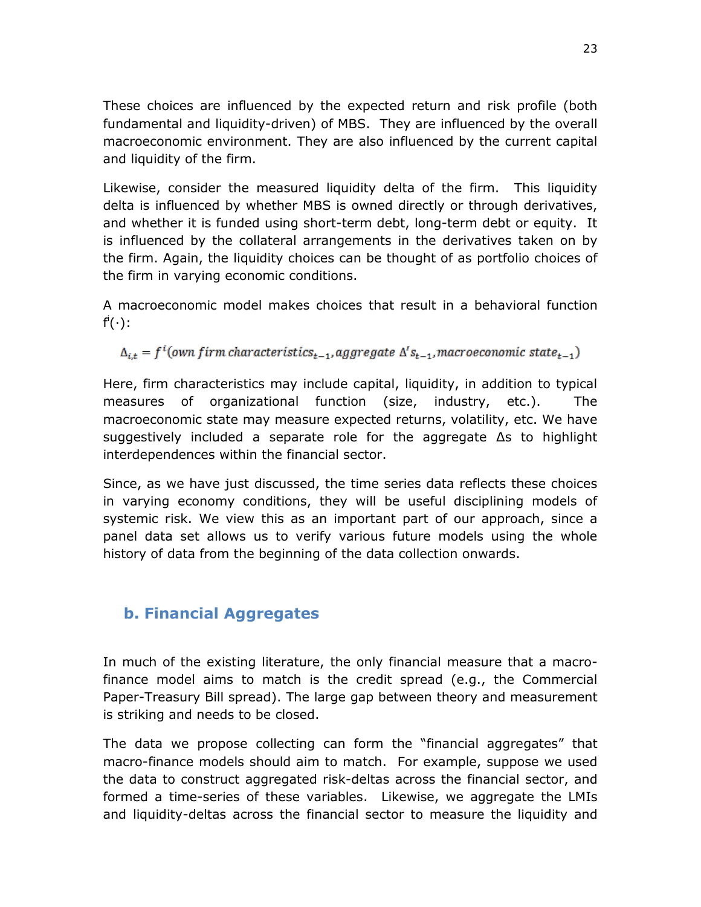These choices are influenced by the expected return and risk profile (both fundamental and liquidity-driven) of MBS. They are influenced by the overall macroeconomic environment. They are also influenced by the current capital and liquidity of the firm.

Likewise, consider the measured liquidity delta of the firm. This liquidity delta is influenced by whether MBS is owned directly or through derivatives, and whether it is funded using short-term debt, long-term debt or equity. It is influenced by the collateral arrangements in the derivatives taken on by the firm. Again, the liquidity choices can be thought of as portfolio choices of the firm in varying economic conditions.

A macroeconomic model makes choices that result in a behavioral function  $\mathsf{f}^{\mathsf{i}}(\cdot)$  :

 $\Delta_{i,t} = f^i$ (own firm characteristics<sub>t-1</sub>, aggregate  $\Delta'$ s<sub>t-1</sub>, macroeconomic state<sub>t-1</sub>)

Here, firm characteristics may include capital, liquidity, in addition to typical measures of organizational function (size, industry, etc.). The macroeconomic state may measure expected returns, volatility, etc. We have suggestively included a separate role for the aggregate Δs to highlight interdependences within the financial sector.

Since, as we have just discussed, the time series data reflects these choices in varying economy conditions, they will be useful disciplining models of systemic risk. We view this as an important part of our approach, since a panel data set allows us to verify various future models using the whole history of data from the beginning of the data collection onwards.

## **b. Financial Aggregates**

In much of the existing literature, the only financial measure that a macrofinance model aims to match is the credit spread (e.g., the Commercial Paper-Treasury Bill spread). The large gap between theory and measurement is striking and needs to be closed.

The data we propose collecting can form the "financial aggregates" that macro-finance models should aim to match. For example, suppose we used the data to construct aggregated risk-deltas across the financial sector, and formed a time-series of these variables. Likewise, we aggregate the LMIs and liquidity-deltas across the financial sector to measure the liquidity and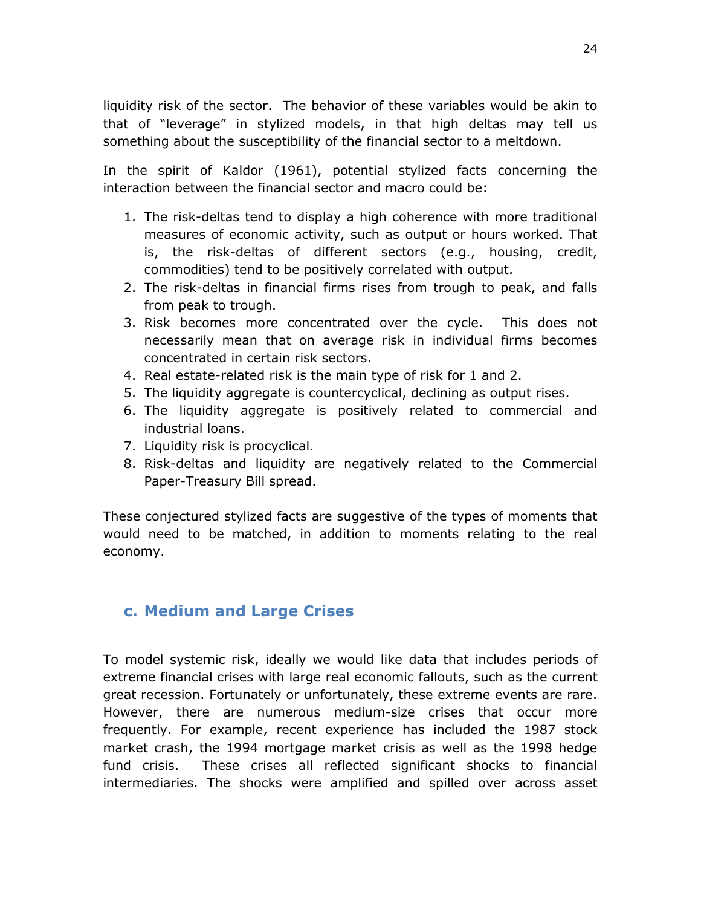liquidity risk of the sector. The behavior of these variables would be akin to that of "leverage" in stylized models, in that high deltas may tell us something about the susceptibility of the financial sector to a meltdown.

In the spirit of Kaldor (1961), potential stylized facts concerning the interaction between the financial sector and macro could be:

- 1. The risk-deltas tend to display a high coherence with more traditional measures of economic activity, such as output or hours worked. That is, the risk-deltas of different sectors (e.g., housing, credit, commodities) tend to be positively correlated with output.
- 2. The risk-deltas in financial firms rises from trough to peak, and falls from peak to trough.
- 3. Risk becomes more concentrated over the cycle. This does not necessarily mean that on average risk in individual firms becomes concentrated in certain risk sectors.
- 4. Real estate-related risk is the main type of risk for 1 and 2.
- 5. The liquidity aggregate is countercyclical, declining as output rises.
- 6. The liquidity aggregate is positively related to commercial and industrial loans.
- 7. Liquidity risk is procyclical.
- 8. Risk-deltas and liquidity are negatively related to the Commercial Paper-Treasury Bill spread.

These conjectured stylized facts are suggestive of the types of moments that would need to be matched, in addition to moments relating to the real economy.

## **c. Medium and Large Crises**

To model systemic risk, ideally we would like data that includes periods of extreme financial crises with large real economic fallouts, such as the current great recession. Fortunately or unfortunately, these extreme events are rare. However, there are numerous medium-size crises that occur more frequently. For example, recent experience has included the 1987 stock market crash, the 1994 mortgage market crisis as well as the 1998 hedge fund crisis. These crises all reflected significant shocks to financial intermediaries. The shocks were amplified and spilled over across asset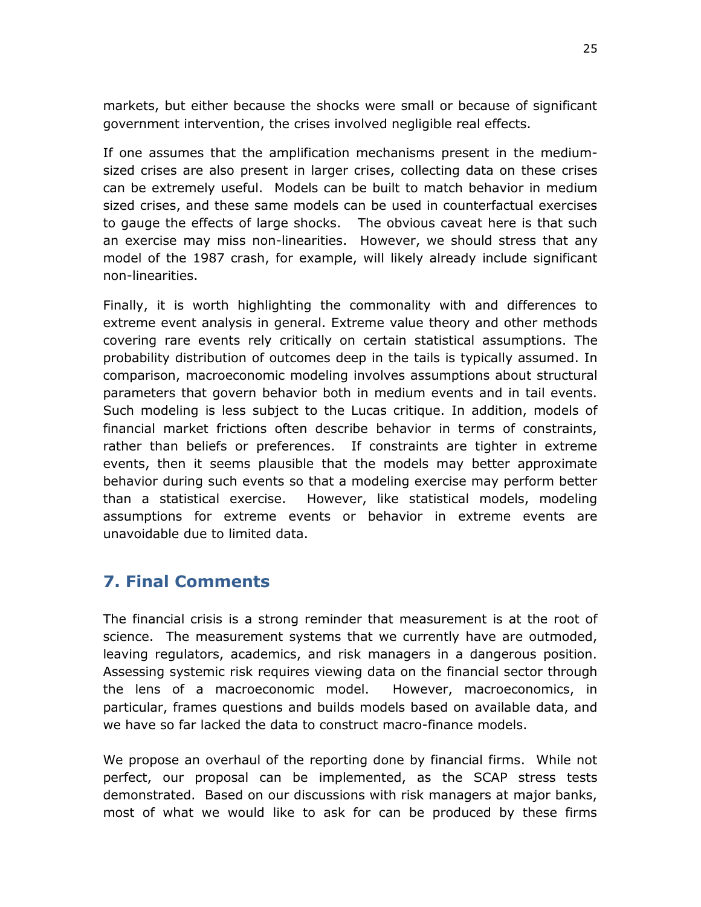markets, but either because the shocks were small or because of significant government intervention, the crises involved negligible real effects.

If one assumes that the amplification mechanisms present in the mediumsized crises are also present in larger crises, collecting data on these crises can be extremely useful. Models can be built to match behavior in medium sized crises, and these same models can be used in counterfactual exercises to gauge the effects of large shocks. The obvious caveat here is that such an exercise may miss non-linearities. However, we should stress that any model of the 1987 crash, for example, will likely already include significant non-linearities.

Finally, it is worth highlighting the commonality with and differences to extreme event analysis in general. Extreme value theory and other methods covering rare events rely critically on certain statistical assumptions. The probability distribution of outcomes deep in the tails is typically assumed. In comparison, macroeconomic modeling involves assumptions about structural parameters that govern behavior both in medium events and in tail events. Such modeling is less subject to the Lucas critique. In addition, models of financial market frictions often describe behavior in terms of constraints, rather than beliefs or preferences. If constraints are tighter in extreme events, then it seems plausible that the models may better approximate behavior during such events so that a modeling exercise may perform better than a statistical exercise. However, like statistical models, modeling assumptions for extreme events or behavior in extreme events are unavoidable due to limited data.

# **7. Final Comments**

The financial crisis is a strong reminder that measurement is at the root of science. The measurement systems that we currently have are outmoded, leaving regulators, academics, and risk managers in a dangerous position. Assessing systemic risk requires viewing data on the financial sector through the lens of a macroeconomic model. However, macroeconomics, in particular, frames questions and builds models based on available data, and we have so far lacked the data to construct macro-finance models.

We propose an overhaul of the reporting done by financial firms. While not perfect, our proposal can be implemented, as the SCAP stress tests demonstrated. Based on our discussions with risk managers at major banks, most of what we would like to ask for can be produced by these firms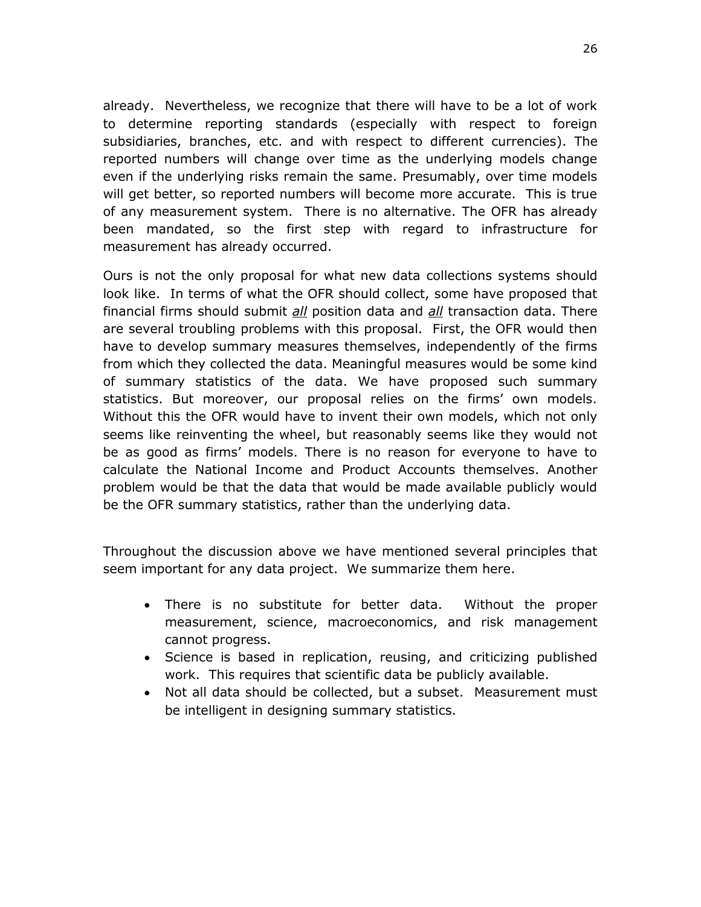already. Nevertheless, we recognize that there will have to be a lot of work to determine reporting standards (especially with respect to foreign subsidiaries, branches, etc. and with respect to different currencies). The reported numbers will change over time as the underlying models change even if the underlying risks remain the same. Presumably, over time models will get better, so reported numbers will become more accurate. This is true of any measurement system. There is no alternative. The OFR has already been mandated, so the first step with regard to infrastructure for measurement has already occurred.

Ours is not the only proposal for what new data collections systems should look like. In terms of what the OFR should collect, some have proposed that financial firms should submit *all* position data and *all* transaction data. There are several troubling problems with this proposal. First, the OFR would then have to develop summary measures themselves, independently of the firms from which they collected the data. Meaningful measures would be some kind of summary statistics of the data. We have proposed such summary statistics. But moreover, our proposal relies on the firms' own models. Without this the OFR would have to invent their own models, which not only seems like reinventing the wheel, but reasonably seems like they would not be as good as firms' models. There is no reason for everyone to have to calculate the National Income and Product Accounts themselves. Another problem would be that the data that would be made available publicly would be the OFR summary statistics, rather than the underlying data.

Throughout the discussion above we have mentioned several principles that seem important for any data project. We summarize them here.

- There is no substitute for better data. Without the proper measurement, science, macroeconomics, and risk management cannot progress.
- Science is based in replication, reusing, and criticizing published work. This requires that scientific data be publicly available.
- Not all data should be collected, but a subset. Measurement must be intelligent in designing summary statistics.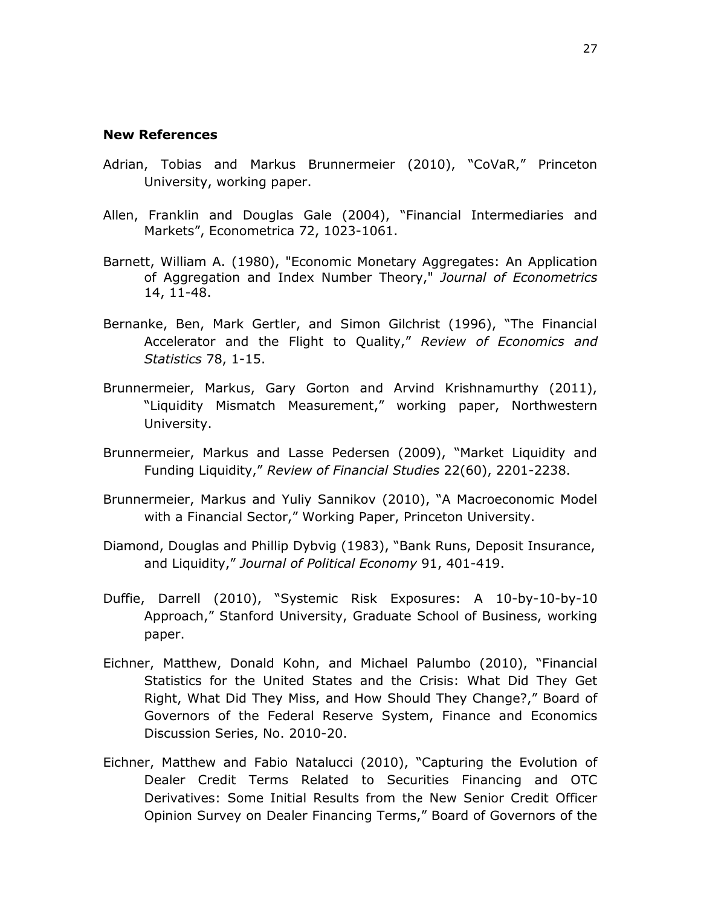#### **New References**

- Adrian, Tobias and Markus Brunnermeier (2010), "CoVaR," Princeton University, working paper.
- Allen, Franklin and Douglas Gale (2004), "Financial Intermediaries and Markets", Econometrica 72, 1023-1061.
- Barnett, William A. (1980), "Economic Monetary Aggregates: An Application of Aggregation and Index Number Theory," *Journal of Econometrics* 14, 11-48.
- Bernanke, Ben, Mark Gertler, and Simon Gilchrist (1996), "The Financial Accelerator and the Flight to Quality,‖ *Review of Economics and Statistics* 78, 1-15.
- Brunnermeier, Markus, Gary Gorton and Arvind Krishnamurthy (2011), "Liquidity Mismatch Measurement," working paper, Northwestern University.
- Brunnermeier, Markus and Lasse Pedersen (2009), "Market Liquidity and Funding Liquidity,‖ *Review of Financial Studies* 22(60), 2201-2238.
- Brunnermeier, Markus and Yuliy Sannikov (2010), "A Macroeconomic Model with a Financial Sector," Working Paper, Princeton University.
- Diamond, Douglas and Phillip Dybvig (1983), "Bank Runs, Deposit Insurance, and Liquidity,‖ *Journal of Political Economy* 91, 401-419.
- Duffie, Darrell (2010), "Systemic Risk Exposures: A 10-by-10-by-10 Approach," Stanford University, Graduate School of Business, working paper.
- Eichner, Matthew, Donald Kohn, and Michael Palumbo (2010), "Financial Statistics for the United States and the Crisis: What Did They Get Right, What Did They Miss, and How Should They Change?," Board of Governors of the Federal Reserve System, Finance and Economics Discussion Series, No. 2010-20.
- Eichner, Matthew and Fabio Natalucci (2010), "Capturing the Evolution of Dealer Credit Terms Related to Securities Financing and OTC Derivatives: Some Initial Results from the New Senior Credit Officer Opinion Survey on Dealer Financing Terms," Board of Governors of the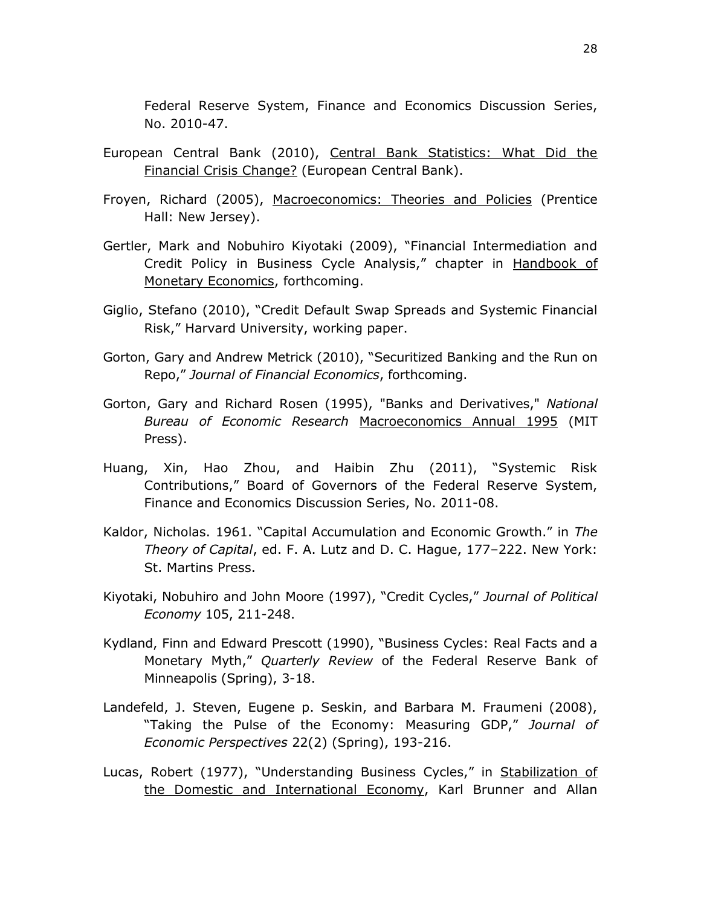Federal Reserve System, Finance and Economics Discussion Series, No. 2010-47.

- European Central Bank (2010), Central Bank Statistics: What Did the Financial Crisis Change? (European Central Bank).
- Froyen, Richard (2005), Macroeconomics: Theories and Policies (Prentice Hall: New Jersey).
- Gertler, Mark and Nobuhiro Kiyotaki (2009), "Financial Intermediation and Credit Policy in Business Cycle Analysis," chapter in Handbook of Monetary Economics, forthcoming.
- Giglio, Stefano (2010), "Credit Default Swap Spreads and Systemic Financial Risk," Harvard University, working paper.
- Gorton, Gary and Andrew Metrick (2010), "Securitized Banking and the Run on Repo,‖ *Journal of Financial Economics*, forthcoming.
- Gorton, Gary and Richard Rosen (1995), "Banks and Derivatives," *National Bureau of Economic Research* Macroeconomics Annual 1995 (MIT Press).
- Huang, Xin, Hao Zhou, and Haibin Zhu (2011), "Systemic Risk Contributions,‖ Board of Governors of the Federal Reserve System, Finance and Economics Discussion Series, No. 2011-08.
- Kaldor, Nicholas. 1961. "Capital Accumulation and Economic Growth." in *The Theory of Capital*, ed. F. A. Lutz and D. C. Hague, 177–222. New York: St. Martins Press.
- Kiyotaki, Nobuhiro and John Moore (1997), "Credit Cycles," Journal of Political *Economy* 105, 211-248.
- Kydland, Finn and Edward Prescott (1990), "Business Cycles: Real Facts and a Monetary Myth," Quarterly Review of the Federal Reserve Bank of Minneapolis (Spring), 3-18.
- Landefeld, J. Steven, Eugene p. Seskin, and Barbara M. Fraumeni (2008), ―Taking the Pulse of the Economy: Measuring GDP,‖ *Journal of Economic Perspectives* 22(2) (Spring), 193-216.
- Lucas, Robert (1977), "Understanding Business Cycles," in Stabilization of the Domestic and International Economy, Karl Brunner and Allan